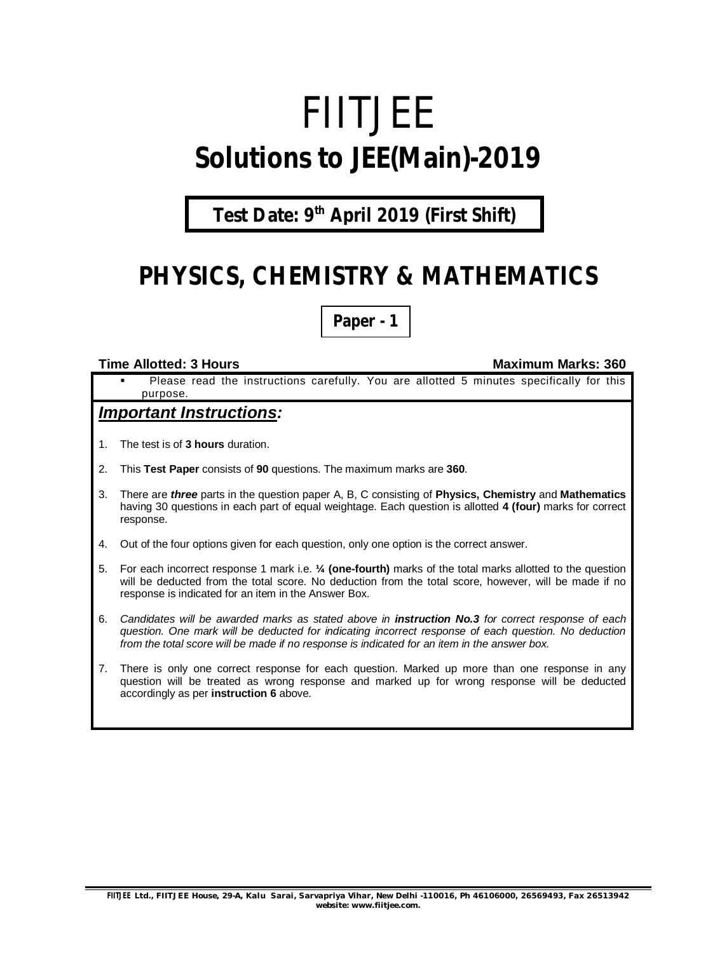# FIITJEE **Solutions to JEE(Main)-2019**

## **Test Date: 9th April 2019 (First Shift)**

## **PHYSICS, CHEMISTRY & MATHEMATICS**

**Paper - 1**

#### **Time Allotted: 3 Hours Maximum Marks: 360**

 Please read the instructions carefully. You are allotted 5 minutes specifically for this purpose.

### *Important Instructions:*

- 1. The test is of **3 hours** duration.
- 2. This **Test Paper** consists of **90** questions. The maximum marks are **360**.
- 3. There are *three* parts in the question paper A, B, C consisting of **Physics, Chemistry** and **Mathematics** having 30 questions in each part of equal weightage. Each question is allotted **4 (four)** marks for correct response.
- 4. Out of the four options given for each question, only one option is the correct answer.
- 5. For each incorrect response 1 mark i.e. **¼ (one-fourth)** marks of the total marks allotted to the question will be deducted from the total score. No deduction from the total score, however, will be made if no response is indicated for an item in the Answer Box.
- 6. *Candidates will be awarded marks as stated above in instruction No.3 for correct response of each question. One mark will be deducted for indicating incorrect response of each question. No deduction from the total score will be made if no response is indicated for an item in the answer box.*
- 7. There is only one correct response for each question. Marked up more than one response in any question will be treated as wrong response and marked up for wrong response will be deducted accordingly as per **instruction 6** above.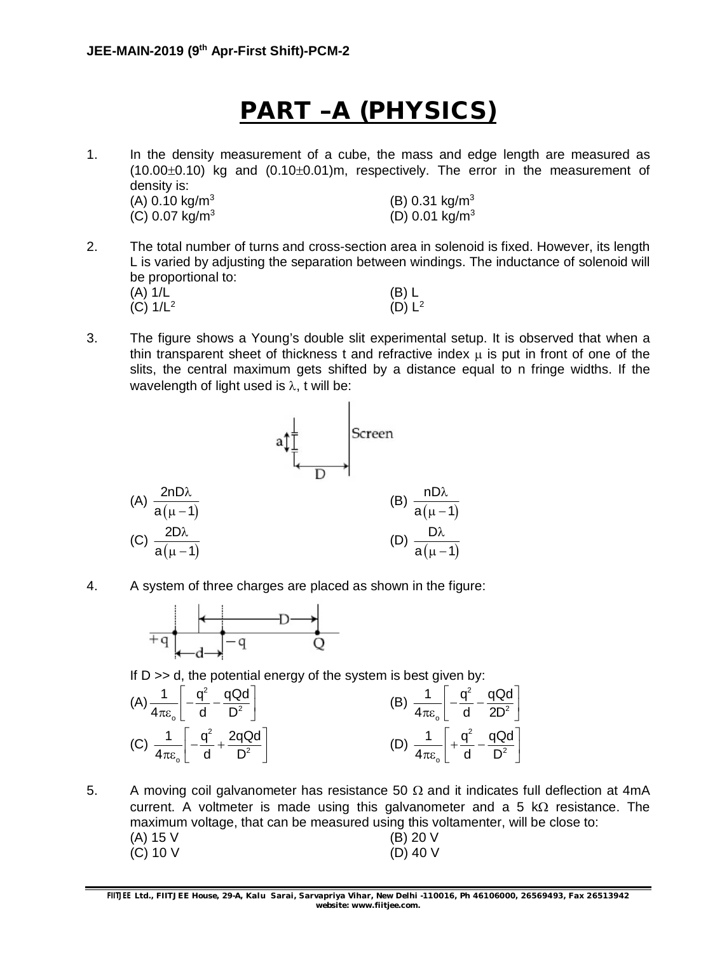## **PART –A (PHYSICS)**

1. In the density measurement of a cube, the mass and edge length are measured as  $(10.00\pm0.10)$  kg and  $(0.10\pm0.01)$ m, respectively. The error in the measurement of density is:  $(A)$  0.10 kg/m<sup>3</sup> (B)  $0.31 \text{ kg/m}^3$  $(C)$  0.07 kg/m<sup>3</sup>  $(D)$  0.01 kg/m<sup>3</sup>

- 2. The total number of turns and cross-section area in solenoid is fixed. However, its length L is varied by adjusting the separation between windings. The inductance of solenoid will be proportional to: (A) 1/L (B) L (C)  $1/L^2$  $(D) L<sup>2</sup>$
- 3. The figure shows a Young's double slit experimental setup. It is observed that when a thin transparent sheet of thickness t and refractive index  $\mu$  is put in front of one of the slits, the central maximum gets shifted by a distance equal to n fringe widths. If the wavelength of light used is  $\lambda$ , t will be:



4. A system of three charges are placed as shown in the figure:



If  $D \gg d$ , the potential energy of the system is best given by:



5. A moving coil galvanometer has resistance 50  $\Omega$  and it indicates full deflection at 4mA current. A voltmeter is made using this galvanometer and a 5  $k\Omega$  resistance. The maximum voltage, that can be measured using this voltamenter, will be close to: (A) 15 V (B) 20 V (C) 10 V (D) 40 V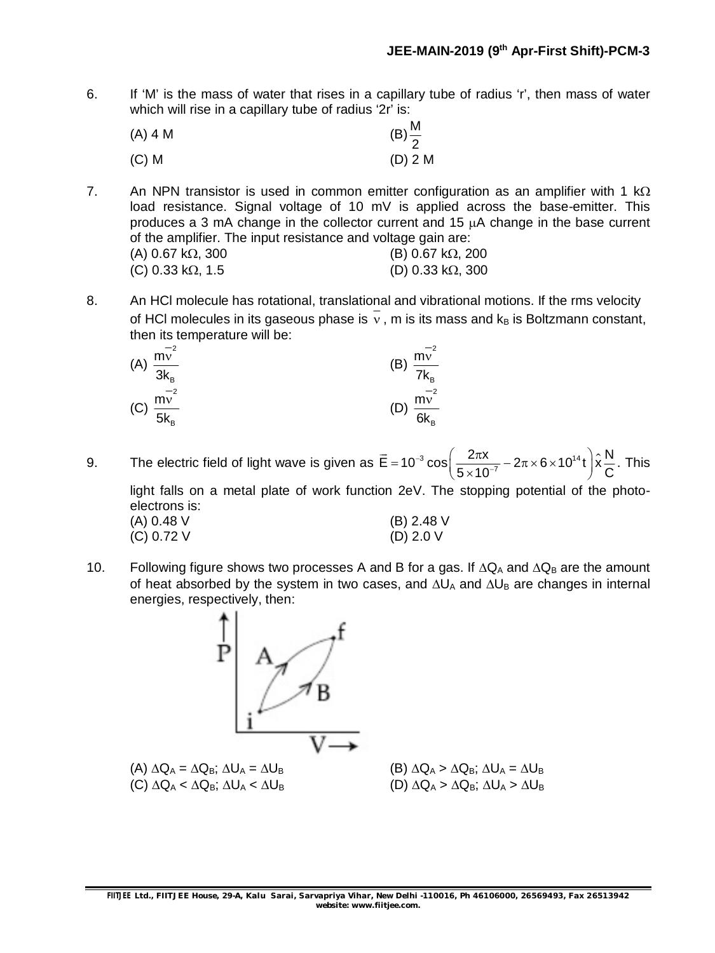6. If 'M' is the mass of water that rises in a capillary tube of radius 'r', then mass of water which will rise in a capillary tube of radius '2r' is:

| $(A)$ 4 M | $(B)\frac{M}{2}$ |
|-----------|------------------|
| $(C)$ M   | $(D)$ 2 M        |

7. An NPN transistor is used in common emitter configuration as an amplifier with 1 k $\Omega$ load resistance. Signal voltage of 10 mV is applied across the base-emitter. This produces a 3 mA change in the collector current and 15  $\mu$ A change in the base current of the amplifier. The input resistance and voltage gain are:<br>(A)  $0.67 \times 0.300$  $(4)$  0.67 kO, 300

| (A) 0.07 KS2, 300         | (D) 0.07 KSZ, ZUU         |
|---------------------------|---------------------------|
| (C) 0.33 k $\Omega$ , 1.5 | (D) 0.33 k $\Omega$ , 300 |

8. An HCl molecule has rotational, translational and vibrational motions. If the rms velocity of HCl molecules in its gaseous phase is  $\overline{v}$ , m is its mass and  $k_B$  is Boltzmann constant, then its temperature will be:

| $-2$<br>m <sub>v</sub><br>(A) $\frac{mv}{3k_{B}}$ | (B) $\frac{mv}{7k_B}$ | $-2$                          |
|---------------------------------------------------|-----------------------|-------------------------------|
| $-2$<br>mv<br>(C) $\frac{mv}{5k_B}$               |                       | $-2$<br>(D) $\frac{mv}{6k_B}$ |

9. The electric field of light wave is given as  $\vec{E} = 10^{-3} \cos \left( \frac{2\pi x}{5 \times 10^{-7}} - 2\pi \times 6 \times 10^{14} t \right) \hat{x} \frac{N}{C}$  $5 \times 10^{-7}$   $\sim$   $\sim$   $\sim$   $\sim$   $\sim$   $\sim$ -- $=10^{-3}\cos\left(\frac{2\pi x}{5\times10^{-7}}-2\pi\times6\times10^{14} t\right)\hat{x}$  $\rightarrow$ . This light falls on a metal plate of work function 2eV. The stopping potential of the photoelectrons is:

| elections is. |              |
|---------------|--------------|
| (A) 0.48 V    | $(B)$ 2.48 V |
| (C) 0.72 V    | (D) $2.0 V$  |

10. Following figure shows two processes A and B for a gas. If  $\Delta Q_A$  and  $\Delta Q_B$  are the amount of heat absorbed by the system in two cases, and  $\Delta U_A$  and  $\Delta U_B$  are changes in internal energies, respectively, then:

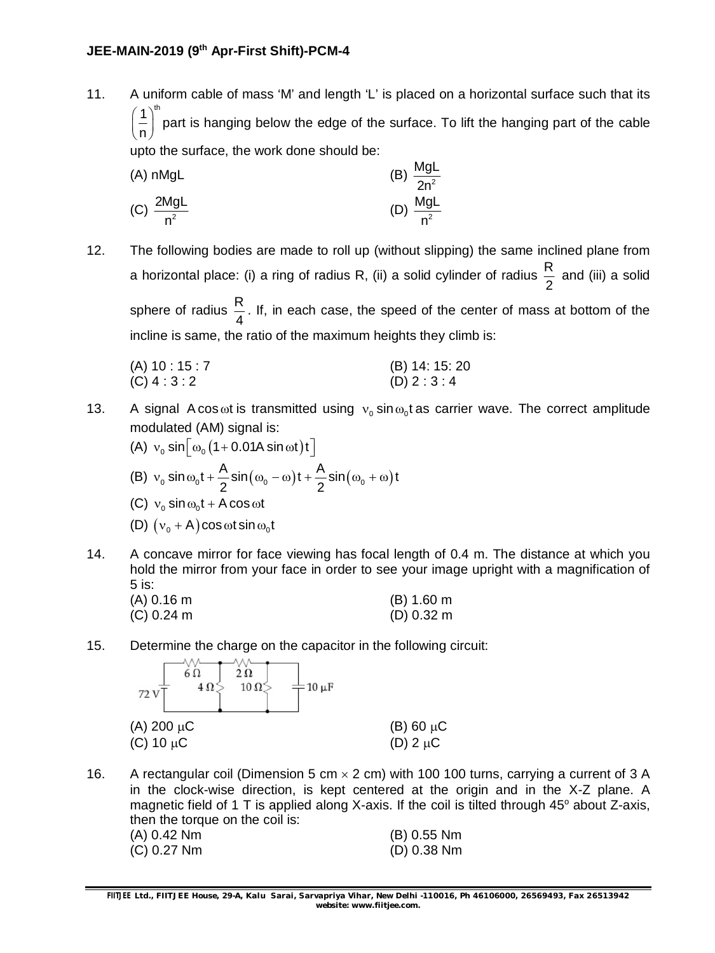#### **JEE-MAIN-2019 (9th Apr-First Shift)-PCM-4**

11. A uniform cable of mass 'M' and length 'L' is placed on a horizontal surface such that its 1)<sup>th</sup> n part is hanging below the edge of the surface. To lift the hanging part of the cable upto the surface, the work done should be:

(A) nMgl.  
\n(B) 
$$
\frac{Mgl}{2n^2}
$$
  
\n(C)  $\frac{2Mgl}{n^2}$   
\n(D)  $\frac{Mgl}{n^2}$ 

12. The following bodies are made to roll up (without slipping) the same inclined plane from a horizontal place: (i) a ring of radius R, (ii) a solid cylinder of radius  $\frac{R}{a}$ 2 and (iii) a solid sphere of radius  $\frac{R}{I}$ 4 . If, in each case, the speed of the center of mass at bottom of the incline is same, the ratio of the maximum heights they climb is:

| (A) 10 : 15 : 7 | (B) 14: 15: 20 |
|-----------------|----------------|
| (C) 4 : 3 : 2   | (D) 2:3:4      |

- 13. A signal A cos  $\omega$ t is transmitted using  $v_0$  sin  $\omega_0$ t as carrier wave. The correct amplitude modulated (AM) signal is:
	- (A)  $v_0 \sin \left[\omega_0 (1 + 0.01A \sin \omega t)t\right]$ (B)  $v_0 \sin \omega_0 t + \frac{A}{2} \sin (\omega_0 - \omega) t + \frac{A}{2} \sin (\omega_0 + \omega) t$  $2 \left( \begin{array}{ccc} 2 & 2 \end{array} \right)$  $v_0 \sin \omega_0 t + \frac{1}{2} \sin(\omega_0 - \omega) t + \frac{1}{2} \sin(\omega_0 + \omega)$ (C)  $v_0 \sin \omega_0 t + A \cos \omega t$ (D)  $(v_0 + A) \cos \omega t \sin \omega_0 t$
- 14. A concave mirror for face viewing has focal length of 0.4 m. The distance at which you hold the mirror from your face in order to see your image upright with a magnification of 5 is:

| (A) 0.16 m | (B) 1.60 m |
|------------|------------|
| (C) 0.24 m | (D) 0.32 m |

15. Determine the charge on the capacitor in the following circuit:



16. A rectangular coil (Dimension 5 cm  $\times$  2 cm) with 100 100 turns, carrying a current of 3 A in the clock-wise direction, is kept centered at the origin and in the X-Z plane. A magnetic field of 1 T is applied along X-axis. If the coil is tilted through  $45^\circ$  about Z-axis, then the torque on the coil is: (A) 0.42 Nm (B) 0.55 Nm (C) 0.27 Nm (D) 0.38 Nm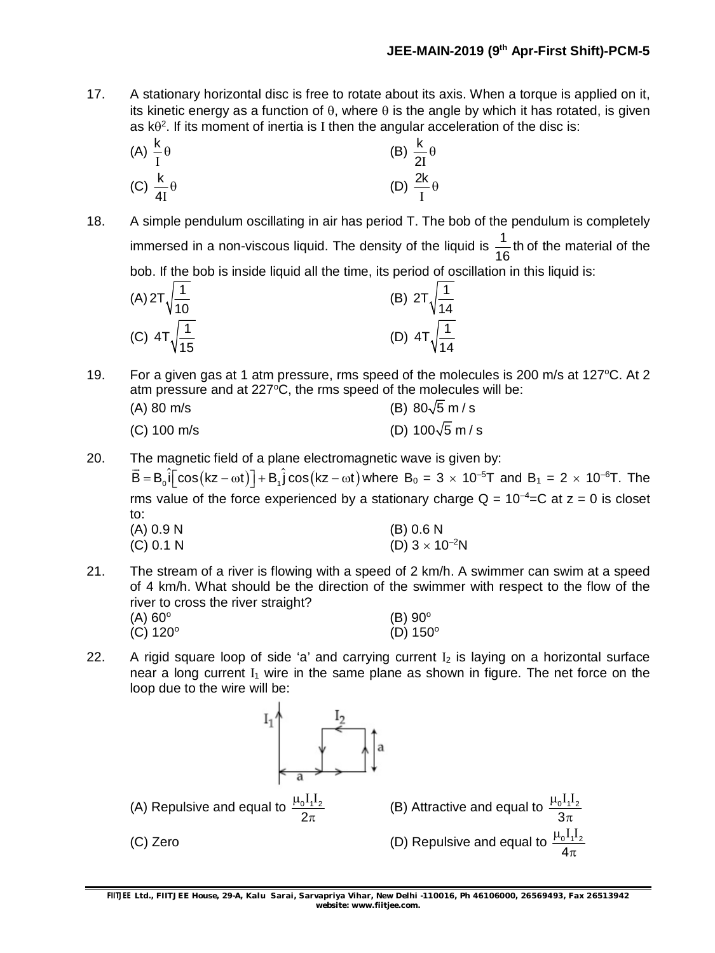17. A stationary horizontal disc is free to rotate about its axis. When a torque is applied on it, its kinetic energy as a function of  $\theta$ , where  $\theta$  is the angle by which it has rotated, is given as  $k\theta^2$ . If its moment of inertia is I then the angular acceleration of the disc is:

(A) 
$$
\frac{k}{I} \theta
$$
  
\n(B)  $\frac{k}{2I} \theta$   
\n(C)  $\frac{k}{4I} \theta$   
\n(D)  $\frac{2k}{I} \theta$ 

18. A simple pendulum oscillating in air has period T. The bob of the pendulum is completely immersed in a non-viscous liquid. The density of the liquid is  $\frac{1}{10}$ th 16 of the material of the bob. If the bob is inside liquid all the time, its period of oscillation in this liquid is:

(A) 
$$
2T\sqrt{\frac{1}{10}}
$$
  
\n(B)  $2T\sqrt{\frac{1}{14}}$   
\n(C)  $4T\sqrt{\frac{1}{15}}$   
\n(D)  $4T\sqrt{\frac{1}{14}}$ 

- 19. For a given gas at 1 atm pressure, rms speed of the molecules is 200 m/s at 127 $\degree$ C. At 2 atm pressure and at  $227^{\circ}$ C, the rms speed of the molecules will be:
	- (A) 80 m/s (B) 80 $\sqrt{5}$  m/s (C) 100 m/s (D)  $100\sqrt{5}$  m / s
- 20. The magnetic field of a plane electromagnetic wave is given by:

 $\overline{B} = B_0 \hat{i} \left[ \cos(kz - \omega t) \right] + B_1 \hat{j} \cos(kz - \omega t)$  where  $B_0 = 3 \times 10^{-5}$ T and  $B_1 = 2 \times 10^{-6}$ T. The rms value of the force experienced by a stationary charge  $Q = 10^{-4}$ =C at  $z = 0$  is closet to:<br>(A) 0.9 N  $(B)$  0.6 N (C) 0.1 N (D)  $3 \times 10^{-2}$ N

- 21. The stream of a river is flowing with a speed of 2 km/h. A swimmer can swim at a speed of 4 km/h. What should be the direction of the swimmer with respect to the flow of the river to cross the river straight?  $(A)$  60 $^{\circ}$  $(B)$  90 $^{\circ}$  $(C) 120^{\circ}$  $(D)$  150 $^{\circ}$
- 22. A rigid square loop of side 'a' and carrying current  $I_2$  is laying on a horizontal surface near a long current  $I_1$  wire in the same plane as shown in figure. The net force on the loop due to the wire will be:

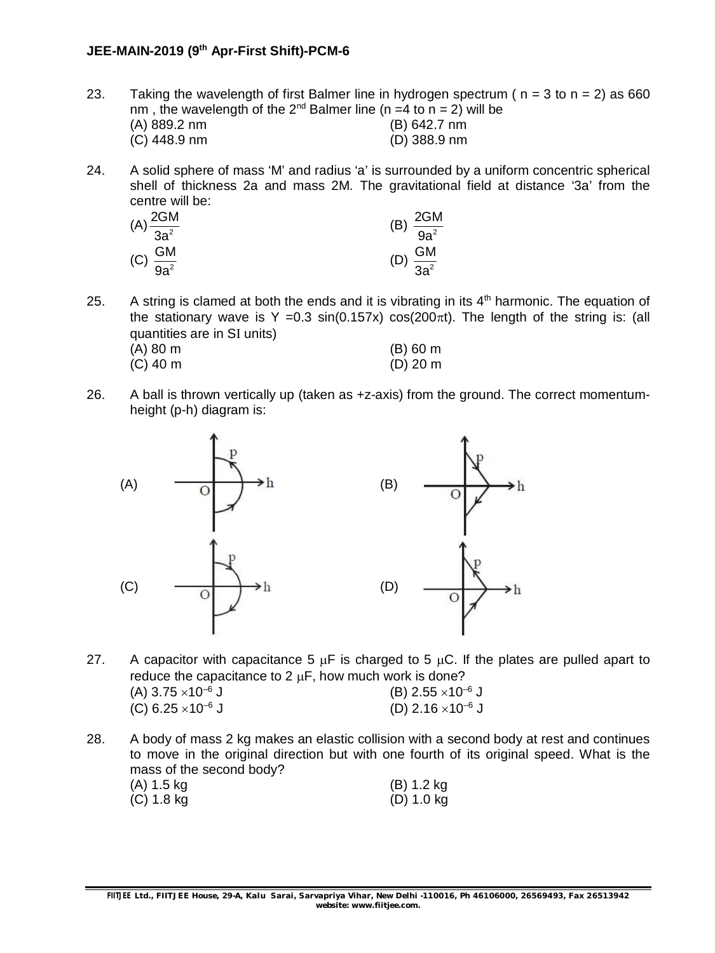#### **JEE-MAIN-2019 (9th Apr-First Shift)-PCM-6**

- 23. Taking the wavelength of first Balmer line in hydrogen spectrum ( $n = 3$  to  $n = 2$ ) as 660 nm, the wavelength of the  $2^{nd}$  Balmer line (n =4 to n = 2) will be (A) 889.2 nm (B) 642.7 nm  $(C)$  448.9 nm
- 24. A solid sphere of mass 'M' and radius 'a' is surrounded by a uniform concentric spherical shell of thickness 2a and mass 2M. The gravitational field at distance '3a' from the centre will be:

| $(A) \frac{2GM}{3a^2}$ | 2GM<br>(B)            |
|------------------------|-----------------------|
|                        | $\overline{9a^2}$     |
|                        |                       |
| (C) $\frac{GM}{9a^2}$  | (D) $\frac{GM}{3a^2}$ |

(C) 40 m (D) 20 m

- 25. A string is clamed at both the ends and it is vibrating in its  $4<sup>th</sup>$  harmonic. The equation of the stationary wave is Y = 0.3 sin(0.157x)  $cos(200\pi t)$ . The length of the string is: (all quantities are in SI units) (A) 80 m (B) 60 m
- 26. A ball is thrown vertically up (taken as +z-axis) from the ground. The correct momentumheight (p-h) diagram is:



- 27. A capacitor with capacitance  $5 \mu F$  is charged to  $5 \mu C$ . If the plates are pulled apart to reduce the capacitance to 2  $\mu$ F, how much work is done? (A)  $3.75 \times 10^{-6}$  J (B)  $2.55 \times 10^{-6}$  J (C)  $6.25 \times 10^{-6}$  J (D)  $2.16 \times 10^{-6}$  J
- 28. A body of mass 2 kg makes an elastic collision with a second body at rest and continues to move in the original direction but with one fourth of its original speed. What is the mass of the second body? (A) 1.5 kg (B) 1.2 kg (C) 1.8 kg (D) 1.0 kg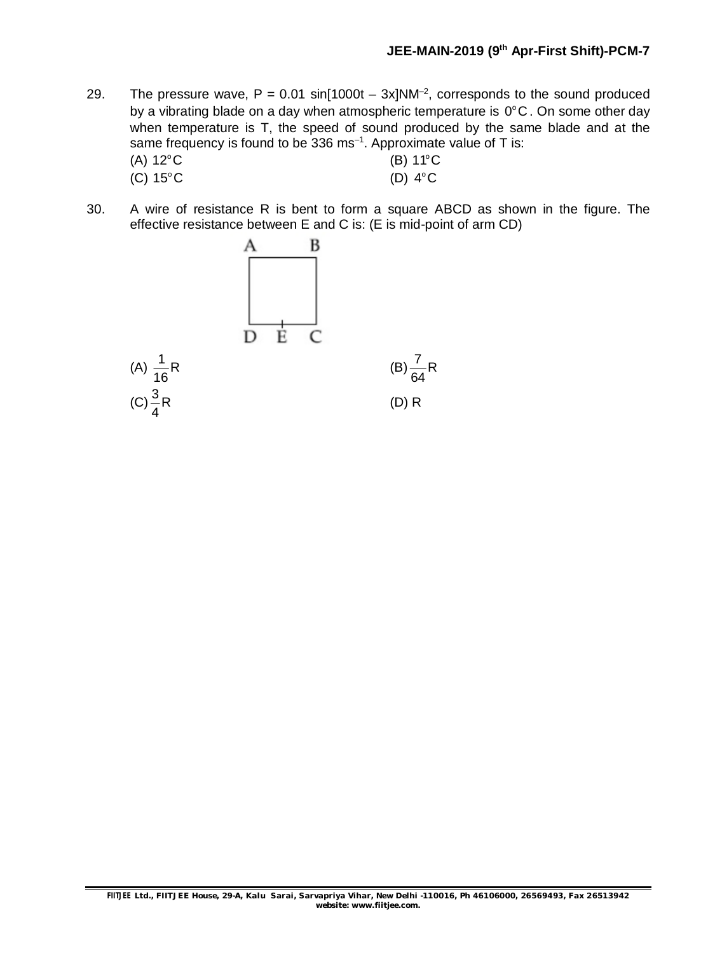- 29. The pressure wave,  $P = 0.01 \sin[1000t 3x]NM^{-2}$ , corresponds to the sound produced by a vibrating blade on a day when atmospheric temperature is  $0^{\circ}$ C. On some other day when temperature is T, the speed of sound produced by the same blade and at the same frequency is found to be 336 ms<sup>-1</sup>. Approximate value of T is:  $(A) 12^{\circ}$ C
	- $12^{\circ}$ C (B)  $11^{\circ}$ C (C)  $15^{\circ}$ C  $15^{\circ}$ C (D)  $4^{\circ}$ C
- 30. A wire of resistance R is bent to form a square ABCD as shown in the figure. The effective resistance between E and C is: (E is mid-point of arm CD)

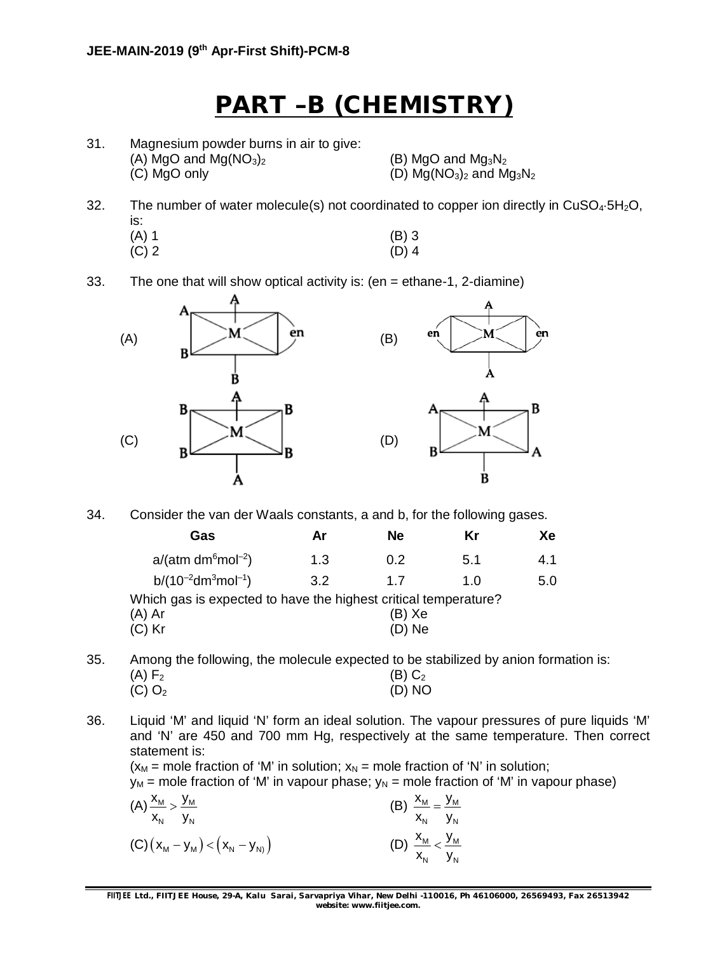## **PART –B (CHEMISTRY)**

31. Magnesium powder burns in air to give: (A) MgO and  $Mg(NO_3)_2$  (B) MgO and  $Mg_3N_2$ (C) MgO only (D)  $Mg(NO_3)_2$  and  $Mg_3N_2$ 

èn

B

- 32. The number of water molecule(s) not coordinated to copper ion directly in  $CuSO<sub>4</sub>·5H<sub>2</sub>O$ , is:  $(A) 1$  (B) 3  $(C) 2$  (D) 4
- 33. The one that will show optical activity is: (en = ethane-1, 2-diamine)



34. Consider the van der Waals constants, a and b, for the following gases.

| Gas                                                             | Ar  | Ne     | Κr  | Xe  |
|-----------------------------------------------------------------|-----|--------|-----|-----|
| $a/(atm dm6 mol-2)$                                             | 1.3 | 0.2    | 5.1 | 4.1 |
| $b/(10^{-2}dm^3mol^{-1})$                                       | 3.2 | 17     | 1.0 | 5.0 |
| Which gas is expected to have the highest critical temperature? |     |        |     |     |
| (A) Ar                                                          |     | (B) Xe |     |     |
| (C) Kr                                                          |     | (D) Ne |     |     |
|                                                                 |     |        |     |     |

35. Among the following, the molecule expected to be stabilized by anion formation is: (A)  $F_2$  (B)  $C_2$  $(C) O<sub>2</sub>$  (D) NO

36. Liquid 'M' and liquid 'N' form an ideal solution. The vapour pressures of pure liquids 'M' and 'N' are 450 and 700 mm Hg, respectively at the same temperature. Then correct statement is:

 $(x_M$  = mole fraction of 'M' in solution;  $x_N$  = mole fraction of 'N' in solution;

 $y_M$  = mole fraction of 'M' in vapour phase;  $y_N$  = mole fraction of 'M' in vapour phase)

| $(A) \frac{x_{M}}{m} > \frac{y_{M}}{m}$<br>$X_N$ $Y_N$ | (B) $\frac{x_{M}}{x_{M}} = \frac{y_{M}}{x_{M}}$<br>$X_N$ $Y_N$ |  |
|--------------------------------------------------------|----------------------------------------------------------------|--|
| $(C) (x_M - y_M) < (x_N - y_N)$                        | (D) $\frac{x_{M}}{x_{N}} < \frac{y_{M}}{y_{N}}$                |  |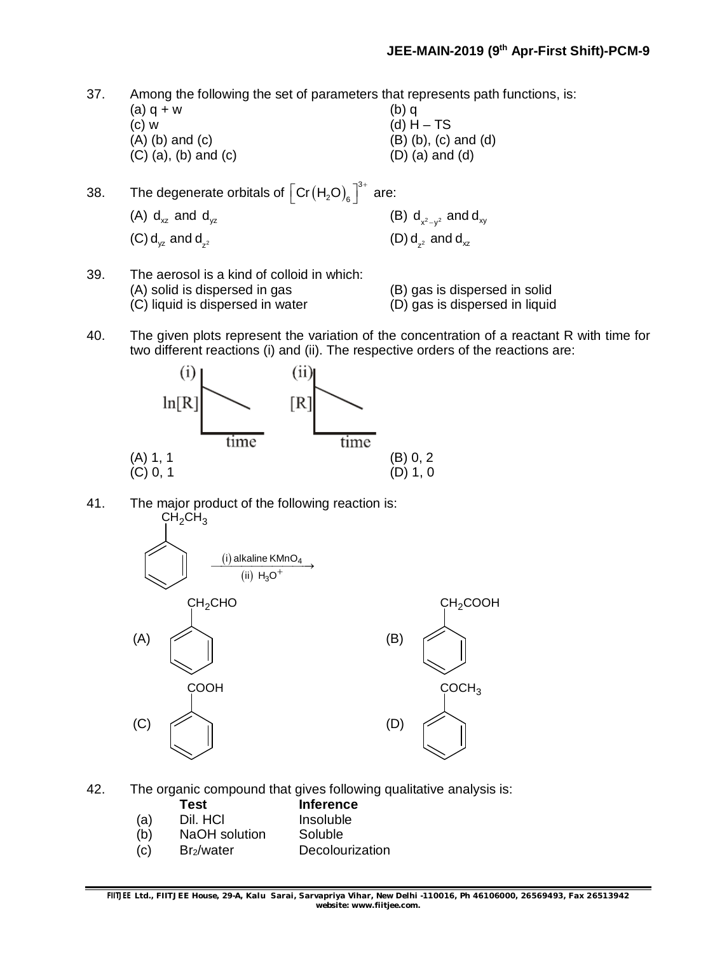37. Among the following the set of parameters that represents path functions, is:

(a)  $q + w$  (b) q (c) w  $(d) H - TS$ <br>(A) (b) and (c)  $(B) (b)$ , (c) (B) (b), (c) and (d) (D) (a) and (d)  $(C)$   $(a)$ ,  $(b)$  and  $(c)$ 

| 38. | The degenerate orbitals of $\left\lceil \text{Cr}\left(\text{H}_{2}\text{O}\right)_{\text{s}}\right\rceil^{3+}$ are: |                                |
|-----|----------------------------------------------------------------------------------------------------------------------|--------------------------------|
|     | (A) $d_{xz}$ and $d_{yz}$                                                                                            | (B) $d_{x^2-y^2}$ and $d_{xy}$ |
|     | $(C) d_{vz}$ and $d_{z}$                                                                                             | $(D) d_{2}$ and $d_{3}$        |

- 39. The aerosol is a kind of colloid in which: (A) solid is dispersed in gas (B) gas is dispersed in solid<br>(C) liquid is dispersed in water (D) gas is dispersed in liquid
	- (D) gas is dispersed in liquid
- 40. The given plots represent the variation of the concentration of a reactant R with time for two different reactions (i) and (ii). The respective orders of the reactions are:



41. The major product of the following reaction is:  $CH<sub>2</sub>CH<sub>3</sub>$ 



42. The organic compound that gives following qualitative analysis is:

|     | Test                   | <b>Inference</b> |
|-----|------------------------|------------------|
| (a) | Dil. HCI               | Insoluble        |
| (b) | NaOH solution          | Soluble          |
| (c) | Br <sub>2</sub> /water | Decolourization  |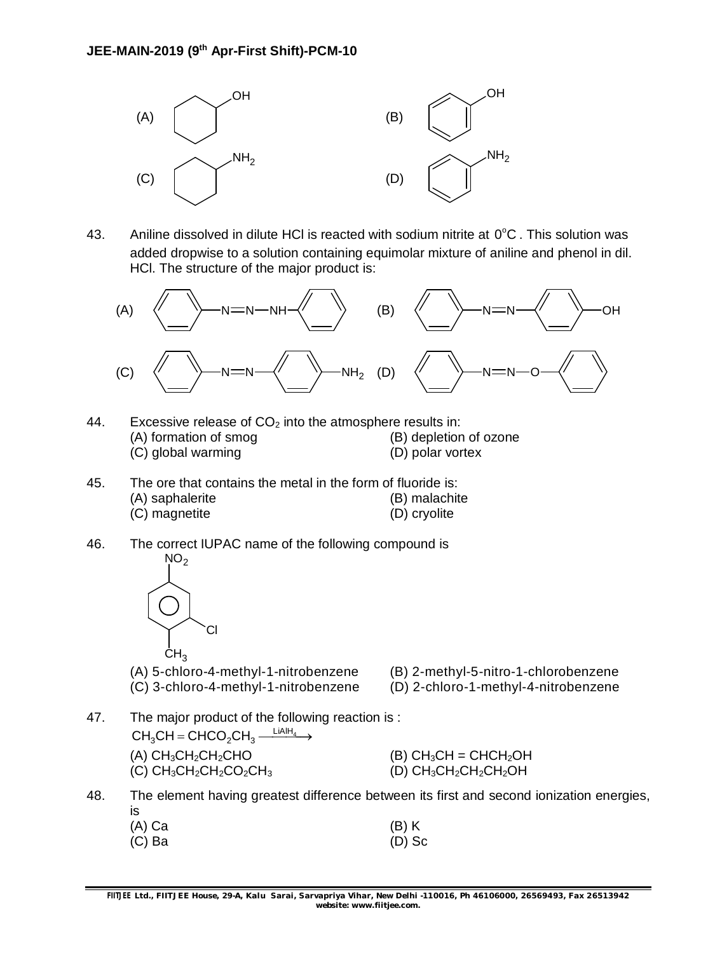

43. Aniline dissolved in dilute HCI is reacted with sodium nitrite at  $0^{\circ}$ C. This solution was added dropwise to a solution containing equimolar mixture of aniline and phenol in dil. HCl. The structure of the major product is:



- 44. Excessive release of  $CO<sub>2</sub>$  into the atmosphere results in: (A) formation of smog (B) depletion of ozone (C) global warming (D) polar vortex
- 45. The ore that contains the metal in the form of fluoride is: (A) saphalerite (B) malachite (C) magnetite (D) cryolite
- 46. The correct IUPAC name of the following compound is  $NO<sub>2</sub>$



Cl

- 
- 
- 47. The major product of the following reaction is :  $CH_3CH = CHCO_2CH_3 \xrightarrow{\text{LiAlH}_4}$ (A)  $CH_3CH_2CH_2CHO$  (B)  $CH_3CH = CHCH_2OH$ (C)  $CH_3CH_2CH_2CO_2CH_3$  (D)  $CH_3CH_2CH_2CH_2OH$
- 48. The element having greatest difference between its first and second ionization energies, is

| (A) Ca | $(B)$ K  |
|--------|----------|
| (C) Ba | $(D)$ Sc |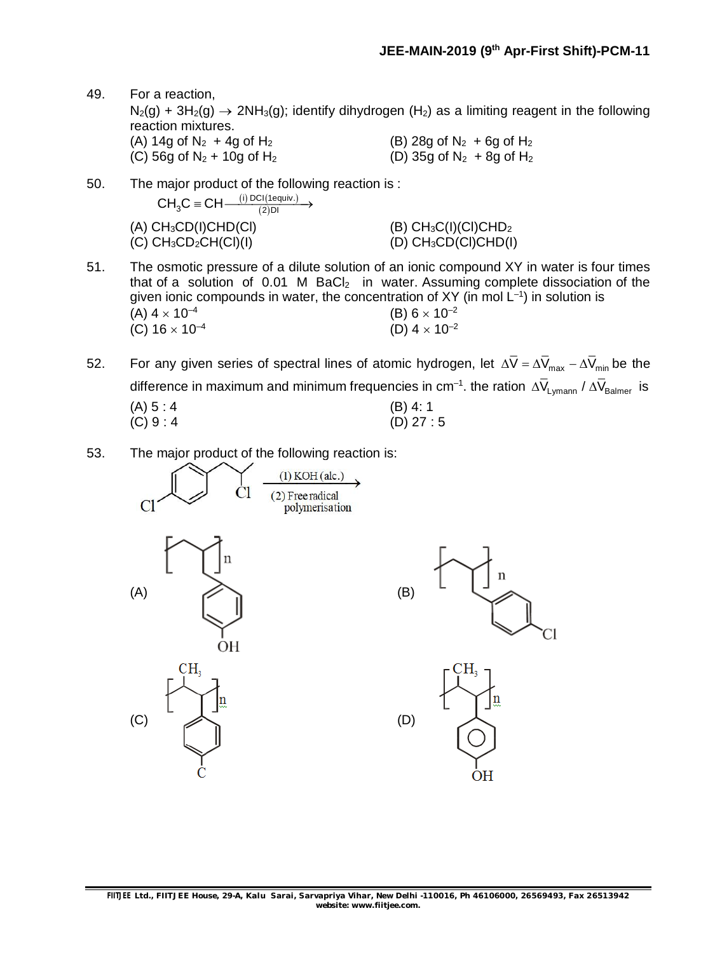- 49. For a reaction,  $N_2(g)$  + 3H<sub>2</sub>(g)  $\rightarrow$  2NH<sub>3</sub>(g); identify dihydrogen (H<sub>2</sub>) as a limiting reagent in the following reaction mixtures. (A) 14g of  $N_2$  + 4g of  $H_2$  (B) 28g of  $N_2$  + 6g of  $H_2$ (C) 56g of  $N_2$  + 10g of  $H_2$  (D) 35g of  $N_2$  + 8g of  $H_2$
- 50. The major product of the following reaction is :  $(A) CH<sub>3</sub>CD(I)CHD(Cl)$ (i) DCI(1equiv.) (2)  $CH_3C \equiv CH \xrightarrow{\text{(i) DCl (1equiv)}} \rightarrow$ (B)  $CH_3C(I)(Cl)CHD_2$ <br>(D)  $CH_3CD(Cl)CHD(I)$  $(C)$  CH<sub>3</sub>CD<sub>2</sub>CH $(CI)(I)$
- 51. The osmotic pressure of a dilute solution of an ionic compound XY in water is four times that of a solution of  $0.01$  M BaCl<sub>2</sub> in water. Assuming complete dissociation of the given ionic compounds in water, the concentration of XY (in mol  $L^{-1}$ ) in solution is (A)  $4 \times 10^{-4}$ (B)  $6 \times 10^{-2}$ (C)  $16 \times 10^{-4}$ (D)  $4 \times 10^{-2}$
- 52. For any given series of spectral lines of atomic hydrogen, let  $\Delta \overline{V} = \Delta \overline{V}_{max} \Delta \overline{V}_{min}$  be the difference in maximum and minimum frequencies in cm<sup>-1</sup>. the ration  $\Delta\overline{V}_{\sf Lymann}$  /  $\Delta\overline{V}_{\sf Balmer}$  is (A)  $5:4$  (B)  $4:1$ <br>(C)  $9:4$  (D)  $27:$  $(D)$  27 : 5
- 53. The major product of the following reaction is:

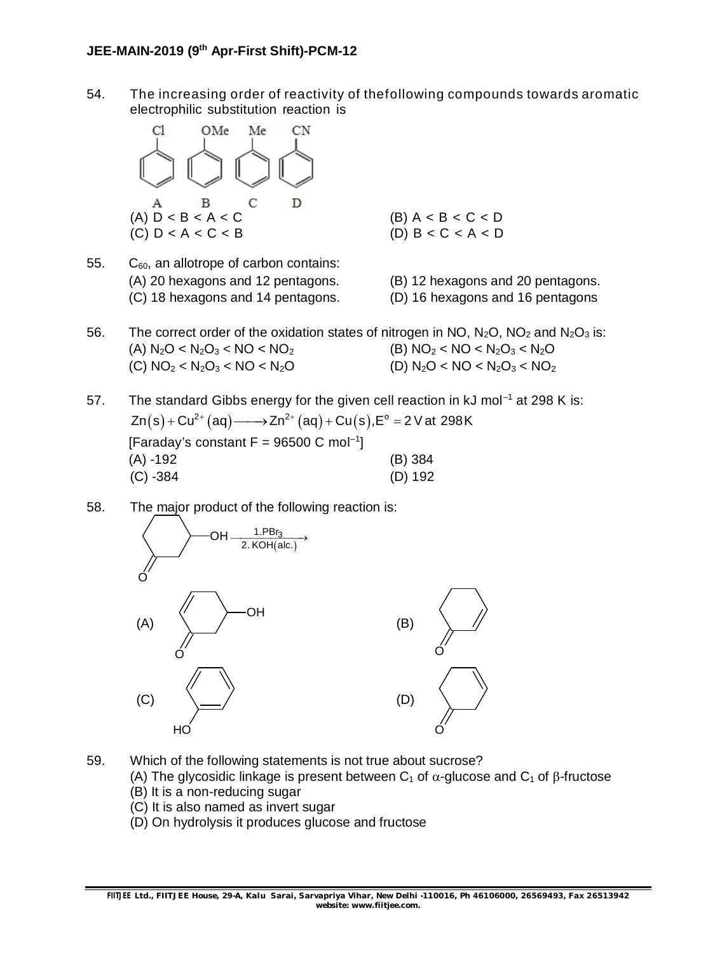54. The increasing order of reactivity of thefollowing compounds towards aromatic electrophilic substitution reaction is



- 55.  $C_{60}$ , an allotrope of carbon contains: (A) 20 hexagons and 12 pentagons. (B) 12 hexagons and 20 pentagons. (C) 18 hexagons and 14 pentagons. (D) 16 hexagons and 16 pentagons
	-
- 56. The correct order of the oxidation states of nitrogen in NO,  $N_2O$ , NO<sub>2</sub> and  $N_2O_3$  is: (A)  $N_2O < N_2O_3 < NO < NO_2$  (B)  $NO_2 < NO < N_2O_3 < N_2O$ (C)  $NO_2 < N_2O_3 < NO < N_2O$  (D)  $N_2O < NO < N_2O_3 < NO_2$
- 57. The standard Gibbs energy for the given cell reaction in  $kJ$  mol<sup>-1</sup> at 298 K is:  $\mathsf{Zn}(\mathsf{s})$  +  $\mathsf{Cu}^{2+}(\mathsf{aq})$ ——→ Zn $^{2+}(\mathsf{aq})$  +  $\mathsf{Cu}(\mathsf{s})$ , $\mathsf{E}^\circ$  = 2 V at 298 K [Faraday's constant  $F = 96500 \text{ C mol}^{-1}$ ] (A) -192 (B) 384 (C) -384 (D) 192
- 58. The major product of the following reaction is:



- 59. Which of the following statements is not true about sucrose?
	- (A) The glycosidic linkage is present between  $C_1$  of  $\alpha$ -glucose and  $C_1$  of  $\beta$ -fructose
	- (B) It is a non-reducing sugar
	- (C) It is also named as invert sugar
	- (D) On hydrolysis it produces glucose and fructose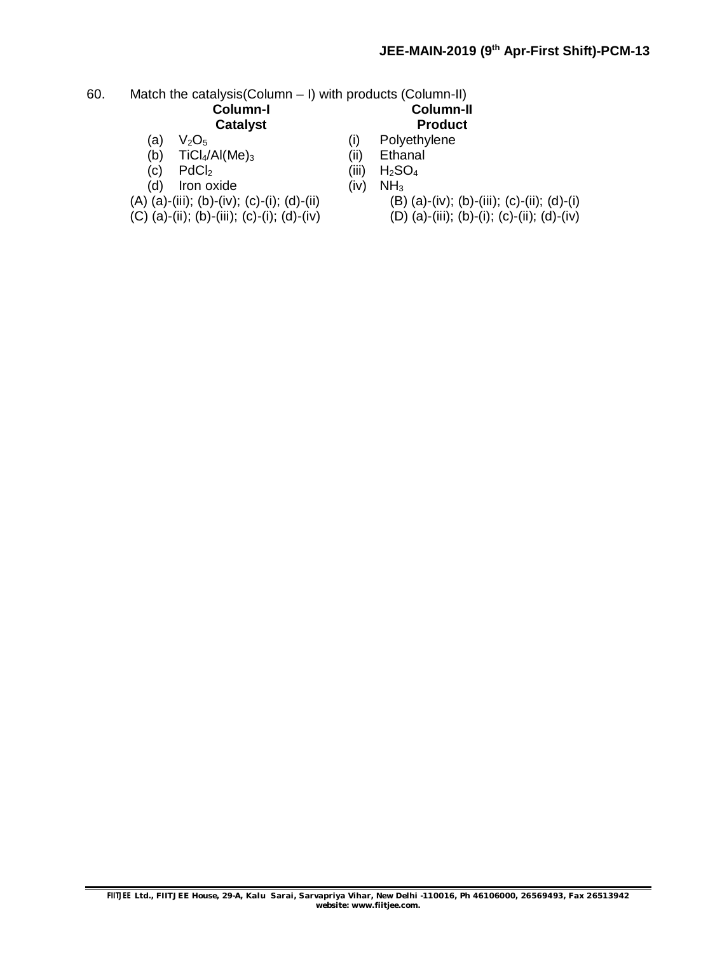#### 60. Match the catalysis(Column – I) with products (Column-II)<br>**Column-I Column-I Column-II Catalyst**

- 
- $TiCl<sub>4</sub>/Al(Me)<sub>3</sub>$  (ii)<br>PdCl<sub>2</sub> (iii)
- (c)  $PdCl_2$  (iii)  $H_2SO_4$ <br>
(d) Iron oxide (iv)  $NH_3$
- $(d)$  Iron oxide (iv)
- 
- 
- (a)  $V_2O_5$  (i) Polyethylene<br>
(b) TiCl<sub>4</sub>/Al(Me)<sub>3</sub> (ii) Ethanal
	-
	-
	- -
- (A) (a)-(iii); (b)-(iv); (c)-(i); (d)-(ii) (B) (a)-(iv); (b)-(iii); (c)-(ii); (d)-(i)<br>(C) (a)-(iii); (b)-(iii); (c)-(ii); (d)-(iv) (D) (a)-(iii); (b)-(i); (c)-(ii); (d)-(iv)  $(D)$  (a)-(iii); (b)-(i); (c)-(ii); (d)-(iv)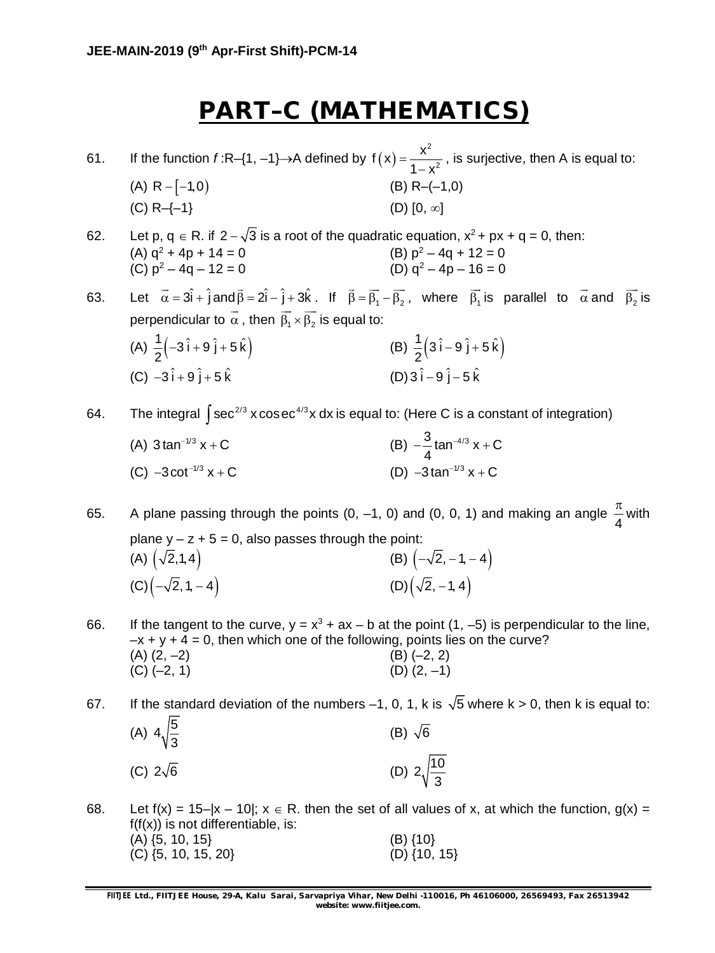## **PART–C (MATHEMATICS)**

61. If the function  $f$ :R–{1, –1}→A defined by  $f(x)$ 2 2  $f(x) = \frac{x}{x}$  $1 - x^2$  $=$  $\overline{a}$ , is surjective, then A is equal to: (A)  $R - [-1,0)$  (B)  $R - (-1,0)$ (C) R-{-1} (D) [0,  $\infty$ ]

62. Let p,  $q \in R$ . if  $2 - \sqrt{3}$  is a root of the quadratic equation,  $x^2 + px + q = 0$ , then: (B)  $p^2 - 4q + 12 = 0$ <br>(D)  $q^2 - 4p - 16 = 0$ (A)  $q^2 + 4p + 14 = 0$ <br>(C)  $p^2 - 4q - 12 = 0$ 

63. Let  $\vec{\alpha} = 3\hat{i} + \hat{j}$  and  $\vec{\beta} = 2\hat{i} - \hat{j} + 3\hat{k}$ . If  $\vec{\beta} = \vec{\beta_1} - \vec{\beta_2}$ , where  $\beta_1$  $\overline{\phantom{a}}$ is parallel to  $\alpha$  $\rightarrow$ and  $\beta_{2}$  $\overline{\phantom{a}}$ is perpendicular to  $\,\alpha$  $\tilde{\phantom{a}}$ , then  $\beta_1 \times \beta_2$  $\rightarrow$   $\rightarrow$ is equal to:

(A)  $\frac{1}{2}$  $\left(-3\hat{i} + 9\hat{j} + 5\hat{k}\right)$  $\frac{1}{2}(-3i+9j+5k)$ 2  $-3\hat{i}+9\hat{j}+5\hat{k}$  (B)  $\frac{1}{2}(3\hat{i}-9\hat{j}+5\hat{k})$  $\frac{1}{2}$  $(3i-9j+5k)$ 2  $\hat{i} - 9 \hat{j} + 5$  $(C) -3\hat{i} + 9\hat{j} + 5\hat{k}$  $(D) 3 \hat{i} - 9 \hat{j} - 5 \hat{k}$ 

64. The integral  $\int$ sec $^{2/3}$  x cos $\rm{e}$ c $^{4/3}$ x dx is equal to: (Here C is a constant of integration)

(A)  $3 \tan^{-1/3} x + C$ + C (B)  $-\frac{3}{4}$  tan<sup>-4/3</sup> x + C 4  $-\frac{3}{4}$ tan<sup>-4/3</sup> x + 0 (C)  $-3 \cot^{-1/3} x + C$  $-3 \cot^{-1/3} x + C$  (D)  $-3 \tan^{-1/3} x + C$ 

65. A plane passing through the points (0, –1, 0) and (0, 0, 1) and making an angle 4  $\frac{\pi}{4}$  with plane  $y - z + 5 = 0$ , also passes through the point: (A)  $(\sqrt{2},1,4)$  (B)  $(-\sqrt{2},-1,-4)$ (C)  $\left(-\sqrt{2}, 1, -4\right)$  (D)  $\left(\sqrt{2}, -1, 4\right)$ 

66. If the tangent to the curve,  $y = x^3 + ax - b$  at the point (1, -5) is perpendicular to the line,  $-x + y + 4 = 0$ , then which one of the following, points lies on the curve?  $(A)$   $(2, -2)$   $(B)$   $(-2, 2)$  $(C) (-2, 1)$  (D)  $(2, -1)$ 

67. If the standard deviation of the numbers -1, 0, 1, k is  $\sqrt{5}$  where k > 0, then k is equal to: (A)  $4\sqrt{\frac{5}{6}}$ 3 (B)  $\sqrt{6}$ (C)  $2\sqrt{6}$  (D)  $2\sqrt{10}$ 

3 68. Let  $f(x) = 15-|x - 10|$ ;  $x \in R$ . then the set of all values of x, at which the function,  $g(x) =$  $f(f(x))$  is not differentiable, is:  $(A) \{5, 10, 15\}$  (B)  $\{10\}$  $(C) \{5, 10, 15, 20\}$  (D)  $\{10, 15\}$ 

**FIITJEE** *Ltd., FIITJEE House, 29-A, Kalu Sarai, Sarvapriya Vihar, New Delhi -110016, Ph 46106000, 26569493, Fax 26513942 website: [www.fiitjee.com.](http://www.fiitjee.com.)*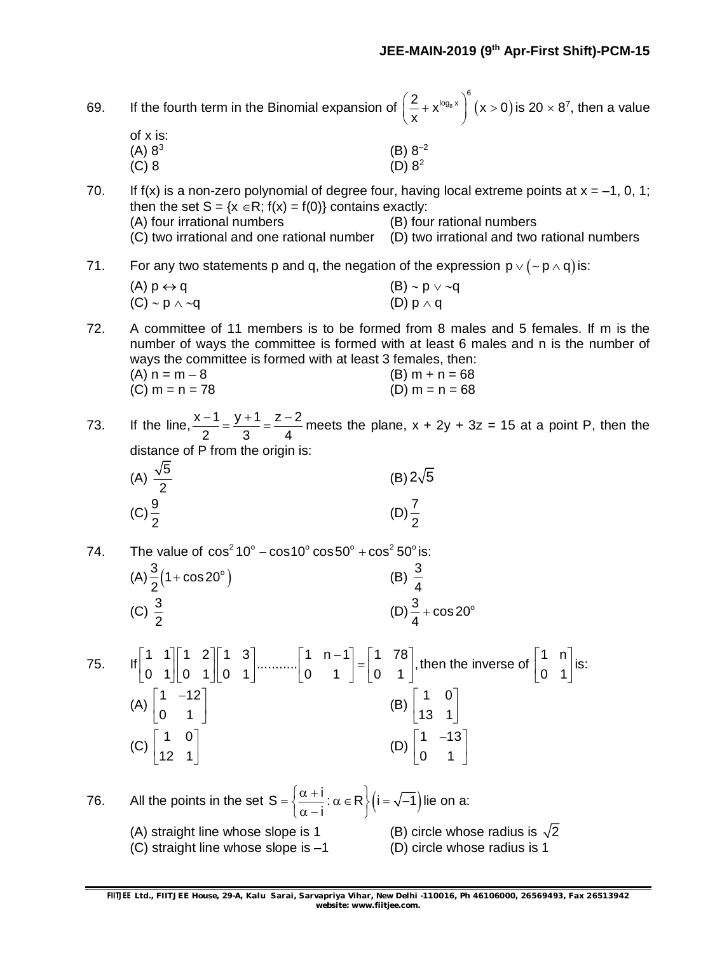| of x is:<br>$(B) 8^{-2}$<br>(A) 8 <sup>3</sup><br>(D) 8 <sup>2</sup><br>$(C)$ 8<br>If $f(x)$ is a non-zero polynomial of degree four, having local extreme points at $x = -1$ , 0, 1;<br>70.<br>then the set $S = \{x \in R; f(x) = f(0)\}\)$ contains exactly:<br>(A) four irrational numbers<br>(B) four rational numbers<br>(C) two irrational and one rational number<br>(D) two irrational and two rational numbers<br>For any two statements p and q, the negation of the expression $p \vee (\sim p \wedge q)$ is:<br>71.<br>$(A)$ $p \leftrightarrow q$<br>$(B) \sim p \vee \sim q$<br>(D) $p \wedge q$<br>$(C) \sim p \wedge \sim q$<br>72.<br>A committee of 11 members is to be formed from 8 males and 5 females. If m is the<br>number of ways the committee is formed with at least 6 males and n is the number of<br>ways the committee is formed with at least 3 females, then:<br>$(A) n = m - 8$<br>(B) $m + n = 68$<br>$(C) m = n = 78$<br>(D) $m = n = 68$<br>If the line, $\frac{x-1}{2} = \frac{y+1}{3} = \frac{z-2}{4}$ meets the plane, $x + 2y + 3z = 15$ at a point P, then the<br>73.<br>distance of P from the origin is:<br>(A) $\frac{\sqrt{5}}{2}$<br>$(B)$ 2 $\sqrt{5}$<br>$(C)\frac{9}{2}$<br>(D) $\frac{7}{2}$<br>The value of $\cos^2 10^\circ - \cos 10^\circ \cos 50^\circ + \cos^2 50^\circ$ is:<br>74.<br>(B) $\frac{3}{4}$<br>(A) $\frac{3}{2}$ (1+cos20°)<br>(D) $\frac{3}{4}$ + cos 20°<br>(C) $\frac{3}{2}$<br>75.<br>(A) $\begin{bmatrix} 1 & -12 \\ 0 & 1 \end{bmatrix}$<br>$(B) \begin{vmatrix} 1 & 0 \\ 13 & 1 \end{vmatrix}$<br>(C) $\begin{bmatrix} 1 & 0 \\ 12 & 1 \end{bmatrix}$<br>(D) $\begin{bmatrix} 1 & -13 \\ 0 & 1 \end{bmatrix}$<br>All the points in the set $S = \left\{ \frac{\alpha + i}{\alpha - i} : \alpha \in R \right\} (i = \sqrt{-1})$ lie on a:<br>76.<br>(B) circle whose radius is $\sqrt{2}$<br>(A) straight line whose slope is 1<br>(D) circle whose radius is 1<br>(C) straight line whose slope is $-1$<br>FIITJEE Ltd., FIITJEE House, 29-A, Kalu Sarai, Sarvapriya Vihar, New Delhi -110016, Ph 46106000, 26569493, Fax 26513942<br>website: www.fiitjee.com. | 69. |  | If the fourth term in the Binomial expansion of $\left(\frac{2}{x}+x^{\log_8 x}\right)^6(x>0)$ is 20 $\times$ 8 <sup>7</sup> , then a value |  |  |  |  |  |  |
|-----------------------------------------------------------------------------------------------------------------------------------------------------------------------------------------------------------------------------------------------------------------------------------------------------------------------------------------------------------------------------------------------------------------------------------------------------------------------------------------------------------------------------------------------------------------------------------------------------------------------------------------------------------------------------------------------------------------------------------------------------------------------------------------------------------------------------------------------------------------------------------------------------------------------------------------------------------------------------------------------------------------------------------------------------------------------------------------------------------------------------------------------------------------------------------------------------------------------------------------------------------------------------------------------------------------------------------------------------------------------------------------------------------------------------------------------------------------------------------------------------------------------------------------------------------------------------------------------------------------------------------------------------------------------------------------------------------------------------------------------------------------------------------------------------------------------------------------------------------------------------------------------------------------------------------------------------------------------------------------------------------------------------------------------------------------------------------------------------------------------------------------------|-----|--|---------------------------------------------------------------------------------------------------------------------------------------------|--|--|--|--|--|--|
|                                                                                                                                                                                                                                                                                                                                                                                                                                                                                                                                                                                                                                                                                                                                                                                                                                                                                                                                                                                                                                                                                                                                                                                                                                                                                                                                                                                                                                                                                                                                                                                                                                                                                                                                                                                                                                                                                                                                                                                                                                                                                                                                               |     |  |                                                                                                                                             |  |  |  |  |  |  |
|                                                                                                                                                                                                                                                                                                                                                                                                                                                                                                                                                                                                                                                                                                                                                                                                                                                                                                                                                                                                                                                                                                                                                                                                                                                                                                                                                                                                                                                                                                                                                                                                                                                                                                                                                                                                                                                                                                                                                                                                                                                                                                                                               |     |  |                                                                                                                                             |  |  |  |  |  |  |
|                                                                                                                                                                                                                                                                                                                                                                                                                                                                                                                                                                                                                                                                                                                                                                                                                                                                                                                                                                                                                                                                                                                                                                                                                                                                                                                                                                                                                                                                                                                                                                                                                                                                                                                                                                                                                                                                                                                                                                                                                                                                                                                                               |     |  |                                                                                                                                             |  |  |  |  |  |  |
|                                                                                                                                                                                                                                                                                                                                                                                                                                                                                                                                                                                                                                                                                                                                                                                                                                                                                                                                                                                                                                                                                                                                                                                                                                                                                                                                                                                                                                                                                                                                                                                                                                                                                                                                                                                                                                                                                                                                                                                                                                                                                                                                               |     |  |                                                                                                                                             |  |  |  |  |  |  |
|                                                                                                                                                                                                                                                                                                                                                                                                                                                                                                                                                                                                                                                                                                                                                                                                                                                                                                                                                                                                                                                                                                                                                                                                                                                                                                                                                                                                                                                                                                                                                                                                                                                                                                                                                                                                                                                                                                                                                                                                                                                                                                                                               |     |  |                                                                                                                                             |  |  |  |  |  |  |
|                                                                                                                                                                                                                                                                                                                                                                                                                                                                                                                                                                                                                                                                                                                                                                                                                                                                                                                                                                                                                                                                                                                                                                                                                                                                                                                                                                                                                                                                                                                                                                                                                                                                                                                                                                                                                                                                                                                                                                                                                                                                                                                                               |     |  |                                                                                                                                             |  |  |  |  |  |  |
|                                                                                                                                                                                                                                                                                                                                                                                                                                                                                                                                                                                                                                                                                                                                                                                                                                                                                                                                                                                                                                                                                                                                                                                                                                                                                                                                                                                                                                                                                                                                                                                                                                                                                                                                                                                                                                                                                                                                                                                                                                                                                                                                               |     |  |                                                                                                                                             |  |  |  |  |  |  |
|                                                                                                                                                                                                                                                                                                                                                                                                                                                                                                                                                                                                                                                                                                                                                                                                                                                                                                                                                                                                                                                                                                                                                                                                                                                                                                                                                                                                                                                                                                                                                                                                                                                                                                                                                                                                                                                                                                                                                                                                                                                                                                                                               |     |  |                                                                                                                                             |  |  |  |  |  |  |
|                                                                                                                                                                                                                                                                                                                                                                                                                                                                                                                                                                                                                                                                                                                                                                                                                                                                                                                                                                                                                                                                                                                                                                                                                                                                                                                                                                                                                                                                                                                                                                                                                                                                                                                                                                                                                                                                                                                                                                                                                                                                                                                                               |     |  |                                                                                                                                             |  |  |  |  |  |  |
|                                                                                                                                                                                                                                                                                                                                                                                                                                                                                                                                                                                                                                                                                                                                                                                                                                                                                                                                                                                                                                                                                                                                                                                                                                                                                                                                                                                                                                                                                                                                                                                                                                                                                                                                                                                                                                                                                                                                                                                                                                                                                                                                               |     |  |                                                                                                                                             |  |  |  |  |  |  |
|                                                                                                                                                                                                                                                                                                                                                                                                                                                                                                                                                                                                                                                                                                                                                                                                                                                                                                                                                                                                                                                                                                                                                                                                                                                                                                                                                                                                                                                                                                                                                                                                                                                                                                                                                                                                                                                                                                                                                                                                                                                                                                                                               |     |  |                                                                                                                                             |  |  |  |  |  |  |
|                                                                                                                                                                                                                                                                                                                                                                                                                                                                                                                                                                                                                                                                                                                                                                                                                                                                                                                                                                                                                                                                                                                                                                                                                                                                                                                                                                                                                                                                                                                                                                                                                                                                                                                                                                                                                                                                                                                                                                                                                                                                                                                                               |     |  |                                                                                                                                             |  |  |  |  |  |  |
|                                                                                                                                                                                                                                                                                                                                                                                                                                                                                                                                                                                                                                                                                                                                                                                                                                                                                                                                                                                                                                                                                                                                                                                                                                                                                                                                                                                                                                                                                                                                                                                                                                                                                                                                                                                                                                                                                                                                                                                                                                                                                                                                               |     |  |                                                                                                                                             |  |  |  |  |  |  |
|                                                                                                                                                                                                                                                                                                                                                                                                                                                                                                                                                                                                                                                                                                                                                                                                                                                                                                                                                                                                                                                                                                                                                                                                                                                                                                                                                                                                                                                                                                                                                                                                                                                                                                                                                                                                                                                                                                                                                                                                                                                                                                                                               |     |  |                                                                                                                                             |  |  |  |  |  |  |
|                                                                                                                                                                                                                                                                                                                                                                                                                                                                                                                                                                                                                                                                                                                                                                                                                                                                                                                                                                                                                                                                                                                                                                                                                                                                                                                                                                                                                                                                                                                                                                                                                                                                                                                                                                                                                                                                                                                                                                                                                                                                                                                                               |     |  |                                                                                                                                             |  |  |  |  |  |  |
|                                                                                                                                                                                                                                                                                                                                                                                                                                                                                                                                                                                                                                                                                                                                                                                                                                                                                                                                                                                                                                                                                                                                                                                                                                                                                                                                                                                                                                                                                                                                                                                                                                                                                                                                                                                                                                                                                                                                                                                                                                                                                                                                               |     |  |                                                                                                                                             |  |  |  |  |  |  |
|                                                                                                                                                                                                                                                                                                                                                                                                                                                                                                                                                                                                                                                                                                                                                                                                                                                                                                                                                                                                                                                                                                                                                                                                                                                                                                                                                                                                                                                                                                                                                                                                                                                                                                                                                                                                                                                                                                                                                                                                                                                                                                                                               |     |  |                                                                                                                                             |  |  |  |  |  |  |
|                                                                                                                                                                                                                                                                                                                                                                                                                                                                                                                                                                                                                                                                                                                                                                                                                                                                                                                                                                                                                                                                                                                                                                                                                                                                                                                                                                                                                                                                                                                                                                                                                                                                                                                                                                                                                                                                                                                                                                                                                                                                                                                                               |     |  |                                                                                                                                             |  |  |  |  |  |  |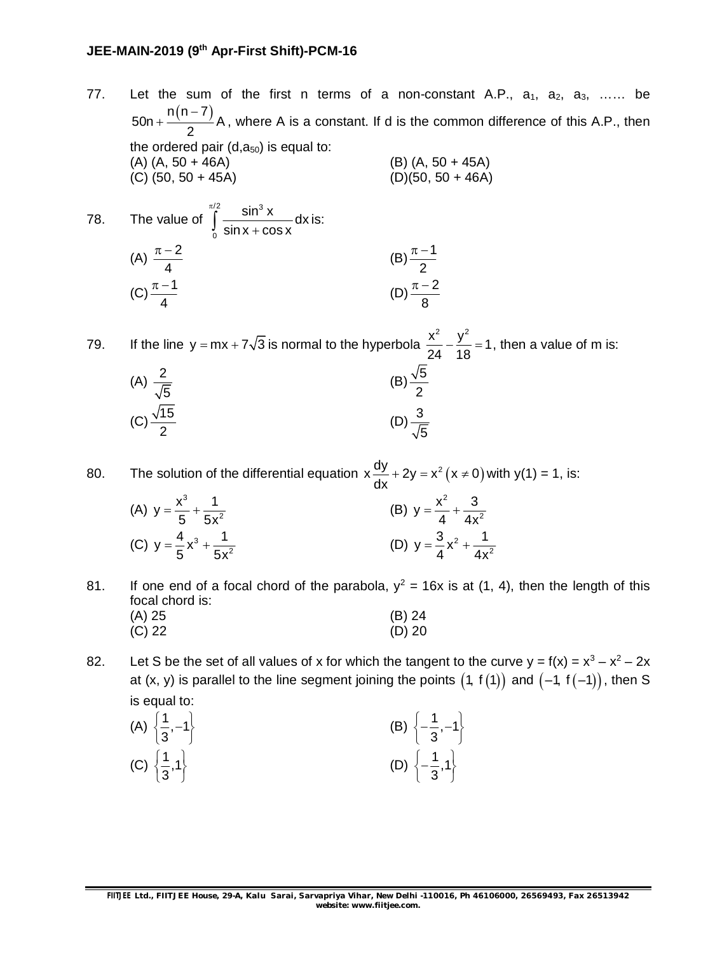## **JEE-MAIN-2019 (9th Apr-First Shift)-PCM-16**

- 77. Let the sum of the first n terms of a non-constant A.P.,  $a_1$ ,  $a_2$ ,  $a_3$ , ...... be 50n +  $\frac{n(n-7)}{2}$  A 2  $+\frac{n(n-7)}{2}$ A, where A is a constant. If d is the common difference of this A.P., then the ordered pair  $(d, a_{50})$  is equal to: (A) (A, 50 + 46A) (B) (A, 50 + 45A) (C)  $(50, 50 + 45A)$  (D) $(50, 50 + 46A)$ 78. The value of  $\frac{1}{2}$  cin<sup>3</sup>  $\frac{\sin^3 x}{x}$ dx π
	- 0  $\sin x + \cos x$  $\int_{0}^{\infty} \frac{\sin x}{\sin x + \cos x} dx$  is: (A)  $\frac{\pi - 2}{4}$ 4  $\frac{\pi - 2}{\pi}$  (B)  $\frac{\pi - 1}{\pi}$ 2  $\pi - 1$  $(C) \frac{\pi - 1}{4}$ 4  $\frac{\pi-1}{\pi}$  (D)  $\frac{\pi-2}{\pi}$ 8  $\pi - 2$

79. If the line  $y = mx + 7\sqrt{3}$  is normal to the hyperbola  $\frac{x^2}{24} - \frac{y^2}{48} = 1$ 24 18  $-\frac{y}{40}$  = 1, then a value of m is: (A)  $\frac{2}{\sqrt{2}}$ 5  $(B)$  $\frac{\sqrt{5}}{2}$ 2 (C)  $\frac{\sqrt{15}}{2}$ 2  $(D) <sup>3</sup>⁄<sub>7</sub>$ 5

80. The solution of the differential equation  $x \frac{dy}{dx} + 2y = x^2 (x \ne 0)$ dx  $+ 2y = x^2 (x \neq 0)$  with y(1) = 1, is:

- (A) 3 2  $y = \frac{x^3}{7} + \frac{1}{7}$ 5 5x  $=\frac{1}{2}+\frac{1}{2}$  (B) 2 2  $y = \frac{x^2}{1} + \frac{3}{1}$ 4 4x  $=\frac{N}{I}+\frac{1}{I}$ (C)  $y = \frac{4}{5}x^3 + \frac{1}{5x^2}$  $y = \frac{4}{5}x^3 + \frac{1}{5}$ 5 5x  $=\frac{4}{5}x^3 + \frac{1}{5x^2}$  (D)  $y = \frac{3}{4}x^2 + \frac{1}{4x^2}$  $y = \frac{3}{4}x^2 + \frac{1}{4}$ 4 4x  $=\frac{6}{4}X^{2} + -$
- 81. If one end of a focal chord of the parabola,  $y^2 = 16x$  is at (1, 4), then the length of this focal chord is: (A) 25 (B) 24 (C) 22 (D) 20

82. Let S be the set of all values of x for which the tangent to the curve  $y = f(x) = x^3 - x^2 - 2x$ at (x, y) is parallel to the line segment joining the points  $(1, f(1))$  and  $(-1, f(-1))$ , then S is equal to:

(A) 
$$
\left\{\frac{1}{3}, -1\right\}
$$
  
\n(B)  $\left\{-\frac{1}{3}, -1\right\}$   
\n(C)  $\left\{\frac{1}{3}, 1\right\}$   
\n(D)  $\left\{-\frac{1}{3}, 1\right\}$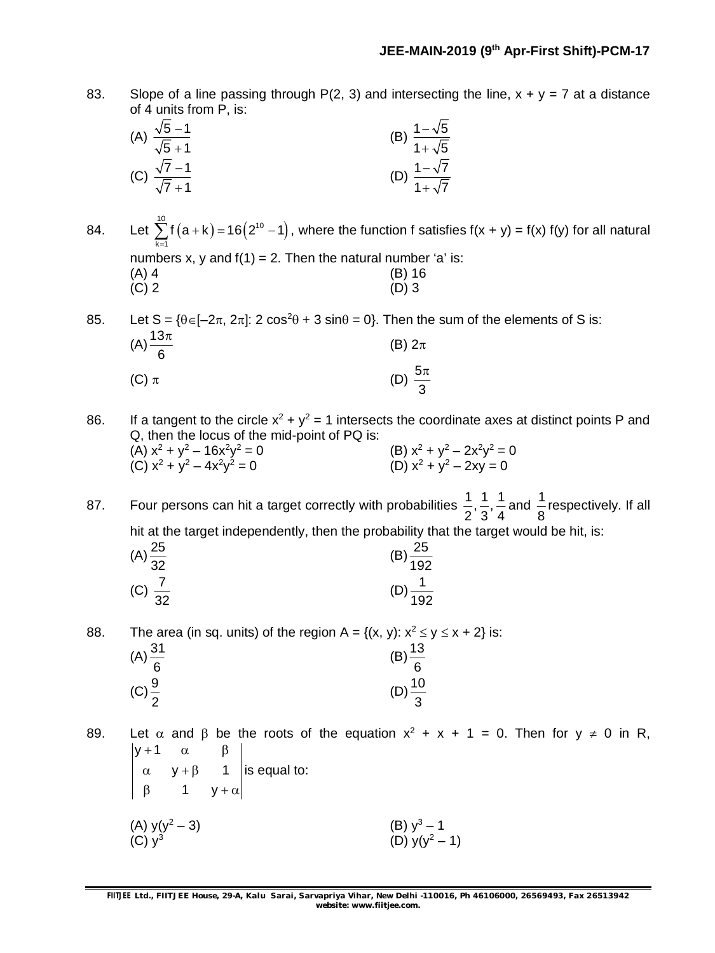83. Slope of a line passing through P(2, 3) and intersecting the line,  $x + y = 7$  at a distance of 4 units from P, is:

(A) 
$$
\frac{\sqrt{5}-1}{\sqrt{5}+1}
$$
 (B)  $\frac{1-\sqrt{5}}{1+\sqrt{5}}$   
(C)  $\frac{\sqrt{7}-1}{\sqrt{7}+1}$  (D)  $\frac{1-\sqrt{7}}{1+\sqrt{7}}$ 

84. Let  $\sum_{10}^{10} f(a+k) = 16(2^{10}-1)$  $k = 1$ f  $(a + k) = 16(2<sup>10</sup> - 1)$  $\sum_{k=1} f(a+k) = 16(2^{10} - 1)$ , where the function f satisfies f(x + y) = f(x) f(y) for all natural numbers x, y and  $f(1) = 2$ . Then the natural number 'a' is: (A) 4 (B) 16 (C) 2 (D) 3  $(C)$  2 (D) 3

85. Let  $S = \{\theta \in [-2\pi, 2\pi] : 2 \cos^2 \theta + 3 \sin \theta = 0\}$ . Then the sum of the elements of S is:  $(A) \frac{13}{6}$ 6  $\pi$ (B)  $2\pi$ (C)  $\pi$  (D)  $\frac{5}{7}$ 3  $\pi$ 

86. If a tangent to the circle  $x^2 + y^2 = 1$  intersects the coordinate axes at distinct points P and Q, then the locus of the mid-point of PQ is: (A)  $x^2 + y^2 - 16x^2y^2 = 0$  $x^2 = 0$  (B)  $x^2 + y^2 - 2x^2y^2 = 0$ (C)  $x^2 + y^2 - 4x^2y$  $x^2 = 0$  (D)  $x^2 + y^2 - 2xy = 0$ 

87. Four persons can hit a target correctly with probabilities  $\frac{1}{6}$ ,  $\frac{1}{6}$ ,  $\frac{1}{10}$  $2^{\degree}3^{\degree}4$ and  $\frac{1}{6}$ 8 respectively. If all hit at the target independently, then the probability that the target would be hit, is:

| $(A) \frac{25}{32}$ | 25<br>$^{10}$ 192 |
|---------------------|-------------------|
| (C) $\frac{7}{32}$  | 192               |

88. The area (in sq. units) of the region  $A = \{(x, y): x^2 \le y \le x + 2\}$  is:  $(A) \frac{31}{2}$ 6  $(B) \frac{13}{2}$ 6  $(C) \frac{9}{5}$ 2  $(D) \frac{10}{2}$ 3

89. Let  $\alpha$  and  $\beta$  be the roots of the equation  $x^2 + x + 1 = 0$ . Then for  $y \ne 0$  in R,  $y + 1$  $y + \beta$  1 1 y  $+1 \quad \alpha \quad \beta$  $\alpha$   $y + \beta$  $\beta$  1  $y + \alpha$ is equal to: (A)  $y(y^2 - 3)$  (B)  $y^3 - 1$  $(C)$   $y^3$ (B)  $y^3 - 1$ <br>(D)  $y(y^2 - 1)$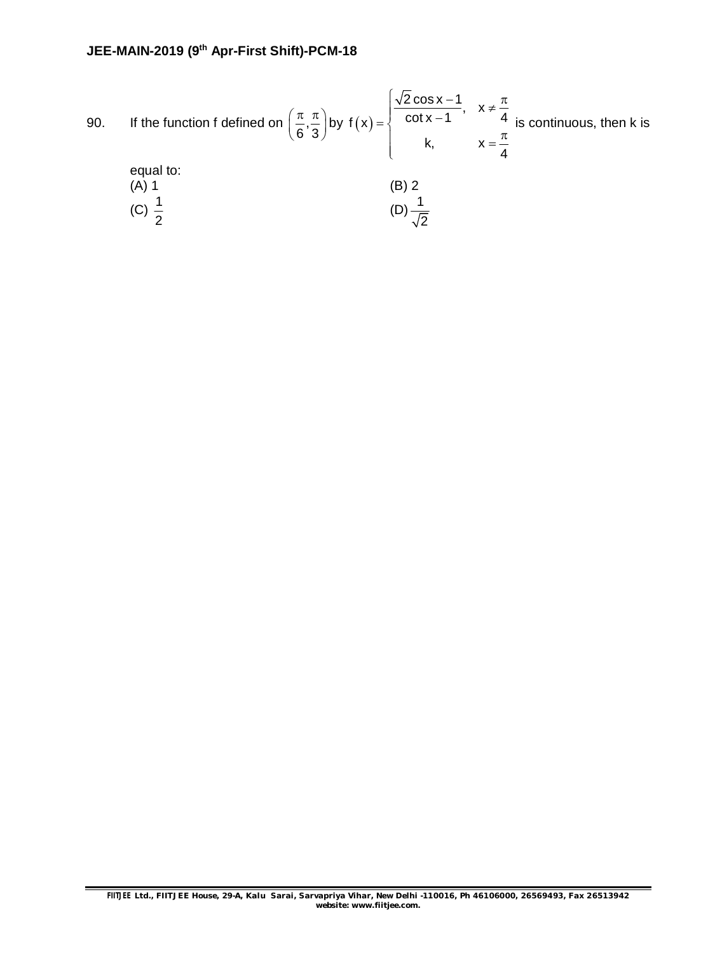90. If the function f defined on 
$$
\left(\frac{\pi}{6}, \frac{\pi}{3}\right)
$$
 by  $f(x) = \begin{cases} \frac{\sqrt{2}\cos x - 1}{\cot x - 1}, & x \neq \frac{\pi}{4} \\ k, & x = \frac{\pi}{4} \end{cases}$  is continuous, then k is  
equal to:  
(A) 1  
(B) 2  
(C)  $\frac{1}{2}$   
(D)  $\frac{1}{\sqrt{2}}$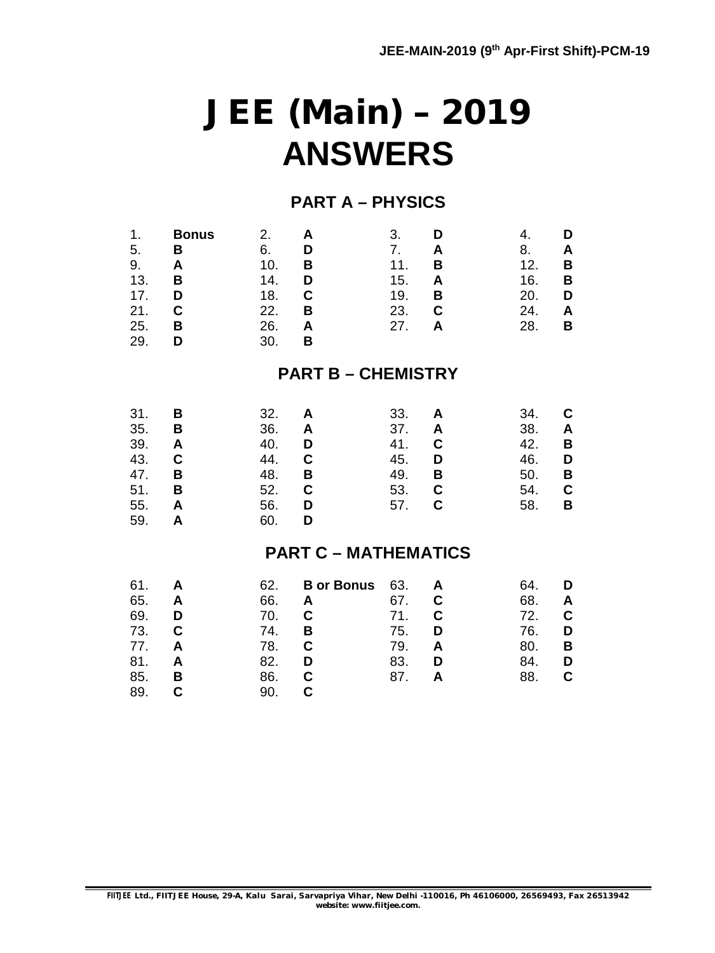# **JEE (Main) – 2019 ANSWERS**

## **PART A – PHYSICS**

| 1.<br>5.<br>9.<br>13.<br>17.<br>21.<br>25.<br>29.    | <b>Bonus</b><br>В<br>A<br>B<br>D<br>C<br>В<br>D | 2.<br>6.<br>10.<br>14.<br>18.<br>22.<br>26.<br>30.   | A<br>D<br>B<br>D<br>C<br>B<br>A<br>B                 | 3.<br>7.<br>11.<br>15.<br>19.<br>23.<br>27.   | D<br>A<br>B<br>A<br>В<br>$\mathbf c$<br>A | 4.<br>8.<br>12.<br>16.<br>20.<br>24.<br>28.   | D<br>Α<br>B<br>B<br>D<br>A<br>В |
|------------------------------------------------------|-------------------------------------------------|------------------------------------------------------|------------------------------------------------------|-----------------------------------------------|-------------------------------------------|-----------------------------------------------|---------------------------------|
|                                                      |                                                 |                                                      | <b>PART B - CHEMISTRY</b>                            |                                               |                                           |                                               |                                 |
| 31.<br>35.<br>39.<br>43.<br>47.<br>51.<br>55.<br>59. | B<br>В<br>A<br>C<br>В<br>В<br>A<br>A            | 32.<br>36.<br>40.<br>44.<br>48.<br>52.<br>56.<br>60. | A<br>A<br>D<br>C<br>В<br>C<br>D<br>D                 | 33.<br>37.<br>41.<br>45.<br>49.<br>53.<br>57. | A<br>A<br>$\mathbf C$<br>D<br>В<br>C<br>C | 34.<br>38.<br>42.<br>46.<br>50.<br>54.<br>58. | С<br>Α<br>В<br>D<br>B<br>C<br>В |
|                                                      |                                                 |                                                      | <b>PART C - MATHEMATICS</b>                          |                                               |                                           |                                               |                                 |
| 61.<br>65.<br>69.<br>73.<br>77.<br>81.<br>85.<br>89. | A<br>A<br>D<br>C<br>A<br>A<br>В<br>C            | 62.<br>66.<br>70.<br>74.<br>78.<br>82.<br>86.<br>90. | <b>B</b> or Bonus<br>A<br>C<br>B<br>C<br>D<br>C<br>C | 63.<br>67.<br>71.<br>75.<br>79.<br>83.<br>87. | A<br>C<br>C<br>D<br>A<br>D<br>A           | 64.<br>68.<br>72.<br>76.<br>80.<br>84.<br>88. | D<br>A<br>C<br>D<br>В<br>D<br>C |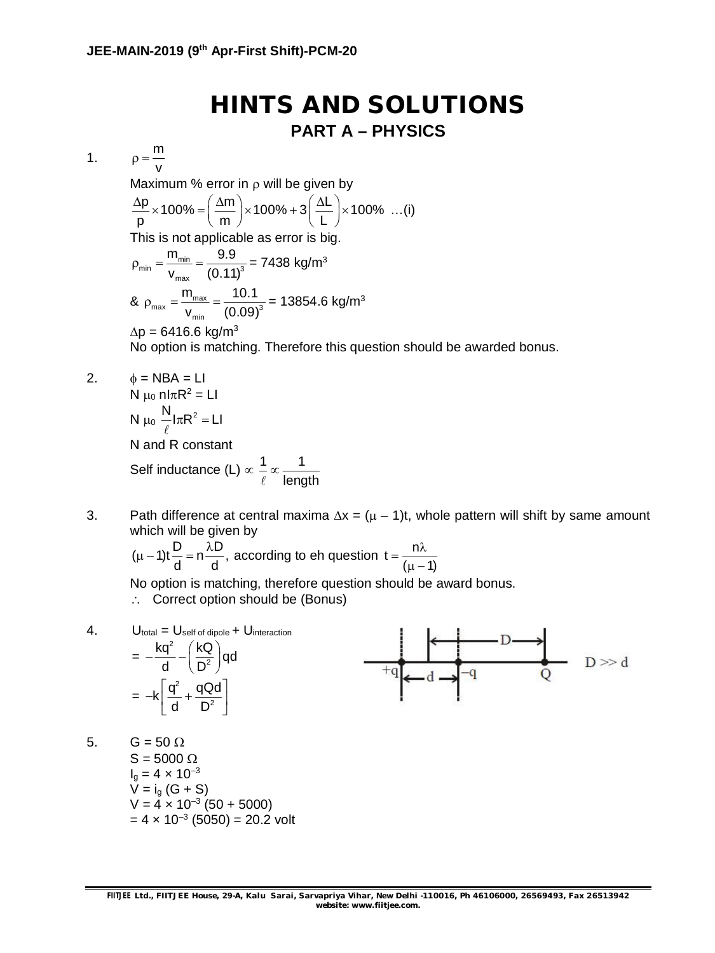## **HINTS AND SOLUTIONS PART A – PHYSICS**

1.  $p = \frac{m}{2}$  $\rho = -$ 

v

Maximum % error in  $\rho$  will be given by

$$
\frac{\Delta p}{p} \times 100\% = \left(\frac{\Delta m}{m}\right) \times 100\% + 3\left(\frac{\Delta L}{L}\right) \times 100\% \dots (i)
$$

This is not applicable as error is big.

$$
\rho_{\min} = \frac{m_{\min}}{v_{\max}} = \frac{9.9}{(0.11)^3} = 7438 \text{ kg/m}^3
$$
  
& 
$$
\rho_{\max} = \frac{m_{\max}}{v_{\min}} = \frac{10.1}{(0.09)^3} = 13854.6 \text{ kg/m}^3
$$
  
 
$$
\Delta p = 6416.6 \text{ kg/m}^3
$$

No option is matching. Therefore this question should be awarded bonus.

- $\phi = NBA = LI$ N  $\mu_0$  nl $\pi$ R<sup>2</sup> = Ll N  $\mu_0 \frac{N}{4} I \pi R^2 = L I$  $\ell$ N and R constant Self inductance (L)  $\propto \frac{1}{4} \propto \frac{1}{1}$ length  $\infty$  $\ell$
- 3. Path difference at central maxima  $\Delta x = (\mu 1)t$ , whole pattern will shift by same amount which will be given by

$$
(\mu - 1)t\frac{D}{d} = n\frac{\lambda D}{d}
$$
, according to the question  $t = \frac{n\lambda}{(\mu - 1)}$ 

No option is matching, therefore question should be award bonus.

:. Correct option should be (Bonus)

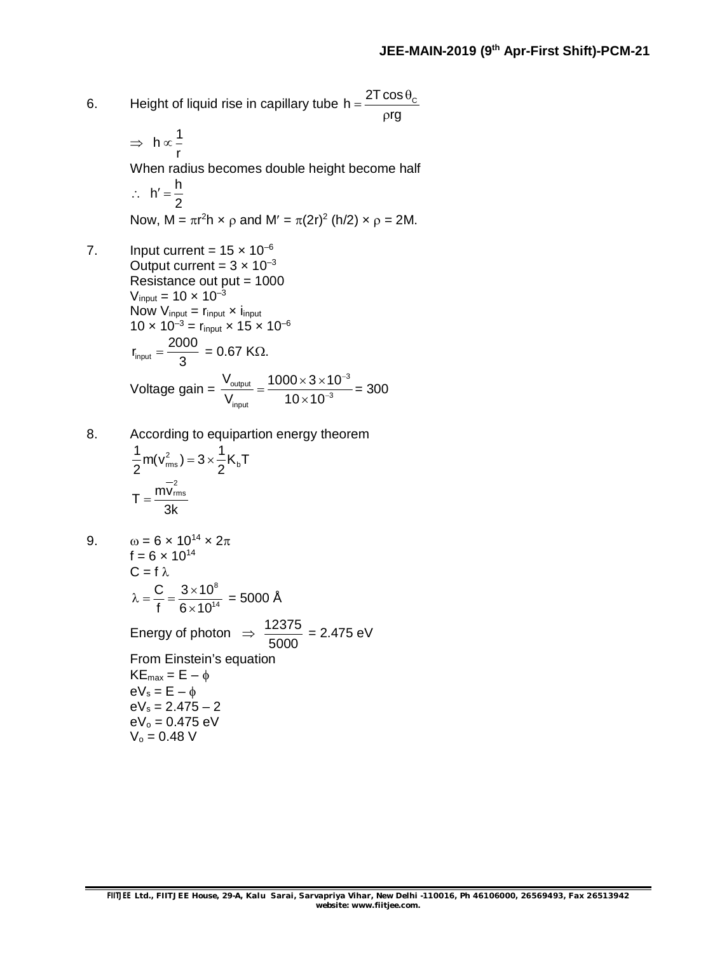- 6. Height of liquid rise in capillary tube h =  $\frac{2 \text{T} \cos \theta_{\text{c}}}{\sigma}$  $=\frac{2T\cos\theta}{2}$
- rg  $\rho$  $\Rightarrow h \propto \frac{1}{h}$ r  $\infty$ When radius becomes double height become half  $\therefore$  h' =  $\frac{h}{2}$ 2  $' =$ Now, M =  $\pi r^2 h \times \rho$  and M' =  $\pi (2r)^2$  (h/2)  $\times \rho = 2M$ . 7. Input current =  $15 \times 10^{-6}$ Output current =  $3 \times 10^{-3}$ Resistance out put = 1000  $V_{input} = 10 \times 10^{-3}$ Now  $V_{input} = r_{input} \times i_{input}$  $10 \times 10^{-3} =$  r<sub>input</sub>  $\times 15 \times 10^{-6}$ input  $r_{\text{input}} = \frac{2000}{2}$ 3  $=\frac{2000}{\lambda}$  = 0.67 KQ. Voltage gain =  $\sigma_{\sf output}$   $1000\times3\times10^{-3}$  $_{\mathsf{input}}$   $10\times10^{-3}$  $\rm V_{\rm output}$  1000 $\times$ 3 $\times$ 10  $V_{\text{inout}}$  10 × 10  $\overline{\phantom{0}}$ - $=\frac{1000\times3\times1}{10\times10^{-4}}$  $\times$ = 300
- 8. According to equipartion energy theorem

$$
\frac{1}{2}m(v_{\rm rms}^2) = 3 \times \frac{1}{2}K_{\rm b}T
$$

$$
T = \frac{mv_{\rm rms}^2}{3k}
$$

9. 
$$
\omega = 6 \times 10^{14} \times 2\pi
$$
  
\n
$$
f = 6 \times 10^{14}
$$
  
\n
$$
C = f \lambda
$$
  
\n
$$
\lambda = \frac{C}{f} = \frac{3 \times 10^8}{6 \times 10^{14}} = 5000 \text{ Å}
$$
  
\nEnergy of photon  $\Rightarrow \frac{12375}{5000} = 2.475 \text{ eV}$   
\nFrom Einstein's equation  
\n
$$
KE_{\text{max}} = E - \phi
$$
  
\n
$$
eV_s = E - \phi
$$
  
\n
$$
eV_s = 2.475 - 2
$$
  
\n
$$
eV_o = 0.475 \text{ eV}
$$
  
\n
$$
V_o = 0.48 \text{ V}
$$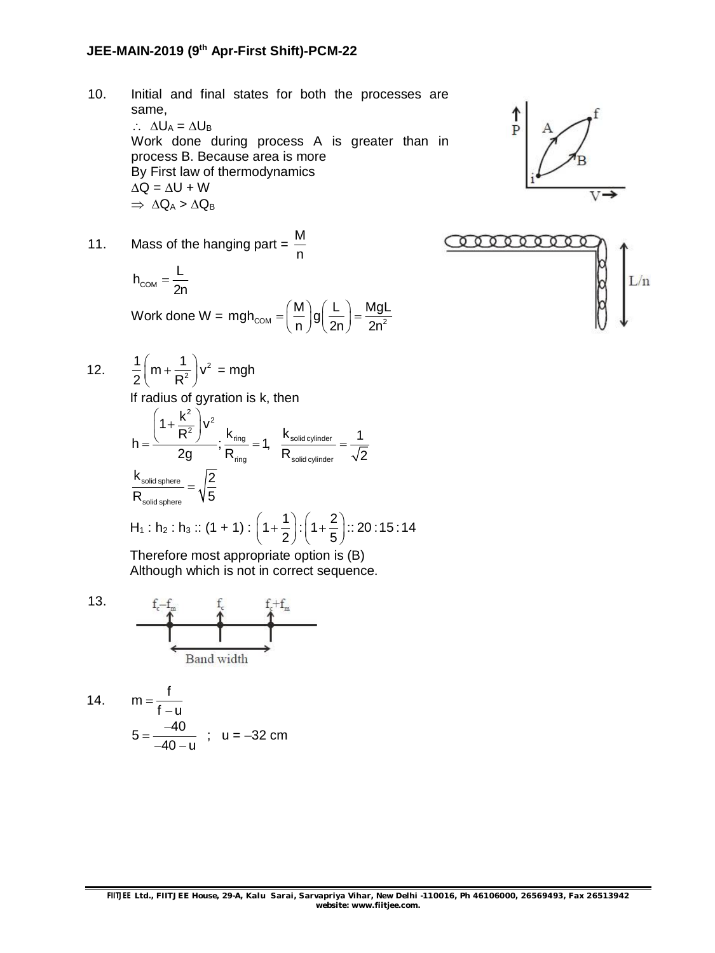## **JEE-MAIN-2019 (9th Apr-First Shift)-PCM-22**

10. Initial and final states for both the processes are same,  $\therefore \Delta U_A = \Delta U_B$ Work done during process A is greater than in process B. Because area is more By First law of thermodynamics  $\Delta Q = \Delta U + W$  $\Rightarrow \Delta Q_A > \Delta Q_B$ 

$$
\begin{array}{c}\n\uparrow \\
\uparrow \\
\downarrow\n\end{array}
$$



$$
h_{COM} = \frac{L}{2n}
$$
  
Work done W = mgh<sub>COM</sub> =  $\left(\frac{M}{n}\right)g\left(\frac{L}{2n}\right) = \frac{MgL}{2n^2}$ 

$$
\underbrace{\text{convergence}}_{\text{max}}\left\{\begin{matrix} \text{min} \\ \text{min} \\ \text{min} \end{matrix}\right\}
$$

12. 
$$
\frac{1}{2}\left(m+\frac{1}{R^2}\right)v^2 = mgh
$$

If radius of gyration is k, then

$$
h = \frac{\left(1 + \frac{k^2}{R^2}\right) v^2}{2g}; \frac{k_{\text{ring}}}{R_{\text{ring}}} = 1, \frac{k_{\text{solid cylinder}}}{R_{\text{solid cylinder}}} = \frac{1}{\sqrt{2}}
$$
  

$$
\frac{k_{\text{solid sphere}}}{R_{\text{solid sphere}}} = \sqrt{\frac{2}{5}}
$$
  
H<sub>1</sub>: h<sub>2</sub>: h<sub>3</sub> :: (1 + 1) :  $\left(1 + \frac{1}{2}\right): \left(1 + \frac{2}{5}\right): : 20 : 15 : 14$ 

Therefore most appropriate option is (B) Although which is not in correct sequence.



14. 
$$
m = \frac{f}{f-u}
$$
  
5 =  $\frac{-40}{-40-u}$ ; u = -32 cm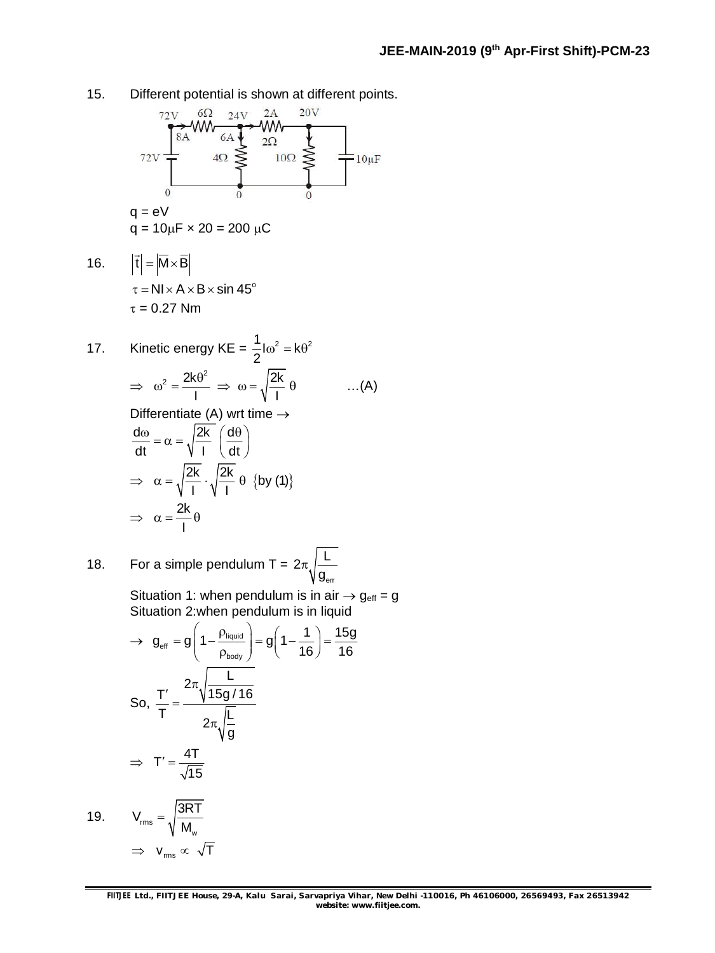15. Different potential is shown at different points.



w

M

 $\Rightarrow$   $v_{\rm rms} \propto \sqrt{T}$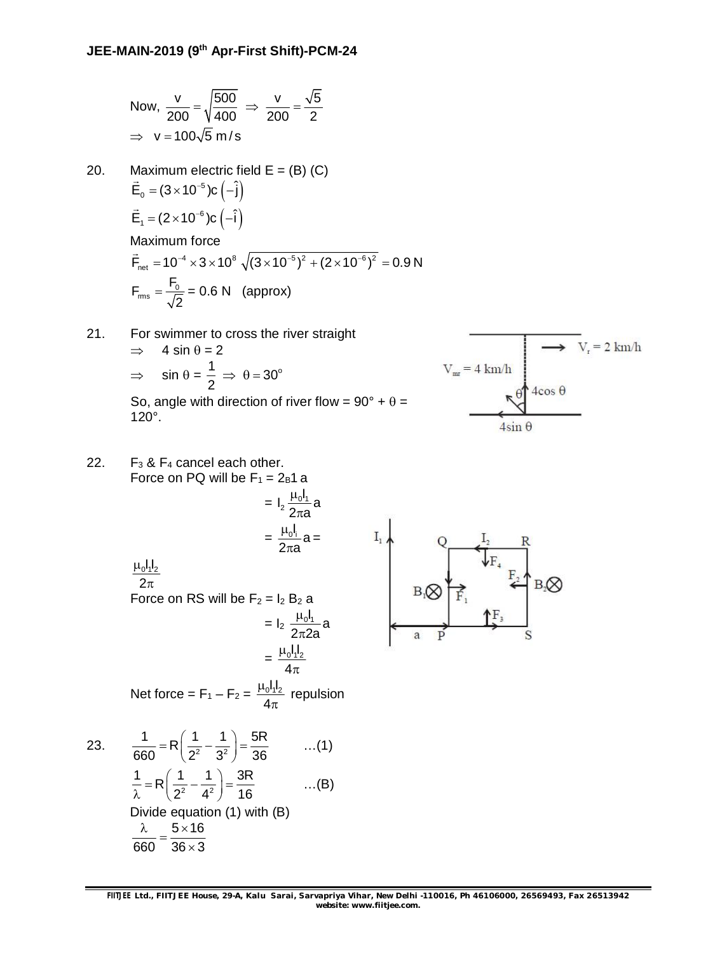Now, 
$$
\frac{v}{200} = \sqrt{\frac{500}{400}} \Rightarrow \frac{v}{200} = \frac{\sqrt{5}}{2}
$$
  
\n $\Rightarrow v = 100\sqrt{5} \text{ m/s}$ 

- 20. Maximum electric field  $E = (B)$  (C)  $\vec{E}_0 = (3 \times 10^{-5})c(-\hat{j})$  $\frac{v}{\rightarrow}$  $\vec{E}_1 = (2 \times 10^{-6})c(-\hat{i})$  $\rightarrow$ Maximum force  $\dot{\mathsf{F}}_{\sf net} =$  10<sup>-4</sup>  $\times$  3  $\times$  10<sup>8</sup>  $\sqrt{(3\times10^{-5})^2 + (2\times10^{-6})^2} =$  0.9 N  $\ddot{\ }$  $r_{\text{rms}} = \frac{1}{6}$  $\mathsf{F}_{\mathsf{rms}} = \frac{\mathsf{F}_{\mathsf{C}}}{\tau}$ 2  $=\frac{0}{\sqrt{2}}$  = 0.6 N (approx)
- 21. For swimmer to cross the river straight  $\implies$  4 sin  $\theta = 2$  $\Rightarrow$  sin  $\theta = \frac{1}{2} \Rightarrow \theta = 30^{\circ}$ 2  $\Rightarrow$   $\theta = 3$ So, angle with direction of river flow =  $90^\circ + \theta =$ 120°.



22. 
$$
F_3 & F_4
$$
 cancel each other.  
\nForce on PQ will be  $F_1 = 2B1a$   
\n
$$
= I_2 \frac{\mu_0 I_1}{2\pi a} a
$$
\n
$$
= \frac{\mu_0 I_1}{2\pi a} a
$$
\n
$$
= \frac{\mu_0 I_1}{2\pi a} a
$$
\n
$$
= I_2 \frac{\mu_0 I_1}{2\pi 2a} a
$$
\n
$$
= I_2 \frac{\mu_0 I_1}{2\pi 2a} a
$$
\n
$$
= \frac{\mu_0 I_1 I_2}{4\pi}
$$
\nNet force =  $F_1 - F_2 = \frac{\mu_0 I_1 I_2}{4\pi}$  repulsion  
\n23. 
$$
\frac{1}{660} = R\left(\frac{1}{2^2} - \frac{1}{3^2}\right) = \frac{5R}{36}
$$
 ...(1)  
\n
$$
\frac{1}{\lambda} = R\left(\frac{1}{2^2} - \frac{1}{4^2}\right) = \frac{3R}{16}
$$
 ...(B)  
\nDivide equation (1) with (B)  
\n
$$
\frac{\lambda}{660} = \frac{5 \times 16}{36 \times 3}
$$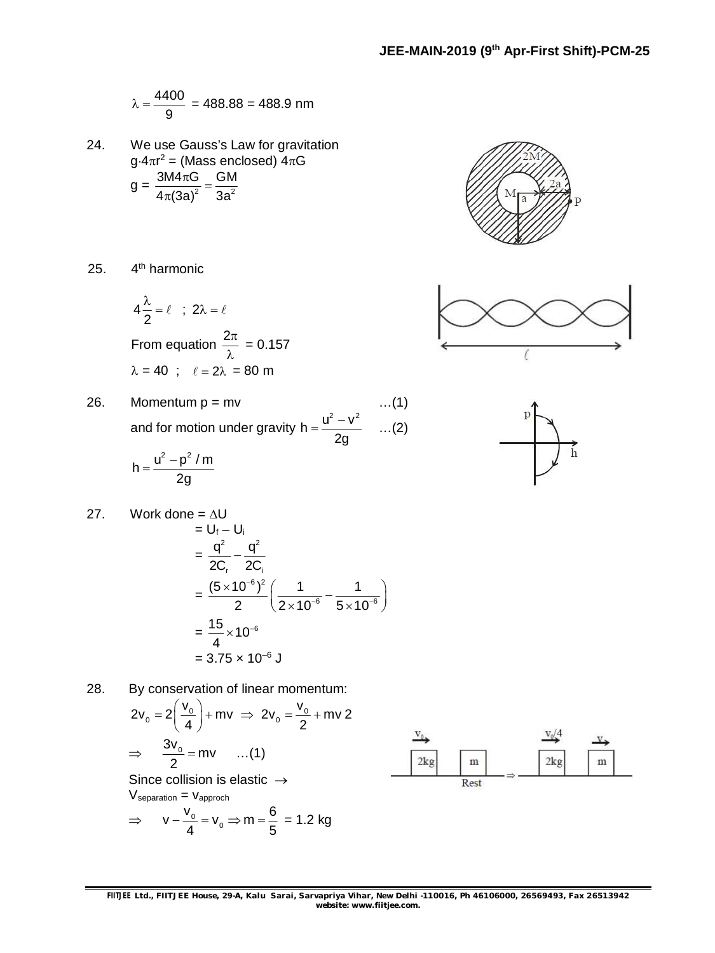$$
\lambda = \frac{4400}{9} = 488.88 = 488.9 \text{ nm}
$$

24. We use Gauss's Law for gravitation g $\cdot$ 4 $\pi$ r<sup>2</sup> = (Mass enclosed) 4 $\pi$ G  $g = {3M4\pi G \over 4\pi (3a)^2} = {GM \over 3a^2}$ 4 $\pi$ (3a) $^2$  3a  $\frac{\pi G}{\sqrt{2}} =$  $\pi$ 



25. 
$$
4^{\text{th}}
$$
 harmonic

$$
4\frac{\lambda}{2} = \ell \quad ; \quad 2\lambda = \ell
$$
  
From equation  $\frac{2\pi}{\lambda} = 0.157$   
 $\lambda = 40 \quad ; \quad \ell = 2\lambda = 80 \text{ m}$ 

26. Momentum p = mv …(1) and for motion under gravity h =  $\frac{u^2 - v^2}{2}$ 2g  $=\frac{u^2-v^2}{2}$  ...(2)

$$
h=\frac{u^2-p^2\mathrel{/} m}{2g}
$$

27. Work done = 
$$
\Delta U
$$
  
\n=  $U_f - U_i$   
\n=  $\frac{q^2}{2C_r} - \frac{q^2}{2C_i}$   
\n=  $\frac{(5 \times 10^{-6})^2}{2} \left(\frac{1}{2 \times 10^{-6}} - \frac{1}{5 \times 10^{-6}}\right)$   
\n=  $\frac{15}{4} \times 10^{-6}$   
\n=  $3.75 \times 10^{-6}$  J

28. By conservation of linear momentum:

$$
2v_0 = 2\left(\frac{v_0}{4}\right) + mv \implies 2v_0 = \frac{v_0}{2} + mv \ge
$$
  
\n
$$
\implies \frac{3v_0}{2} = mv \qquad ...(1)
$$
  
\nSince collision is elastic  $\rightarrow$ 

 $V<sub>separation</sub> = V<sub>approch</sub>$ 

$$
\Rightarrow \qquad v - \frac{v_0}{4} = v_0 \Rightarrow m = \frac{6}{5} = 1.2 \text{ kg}
$$





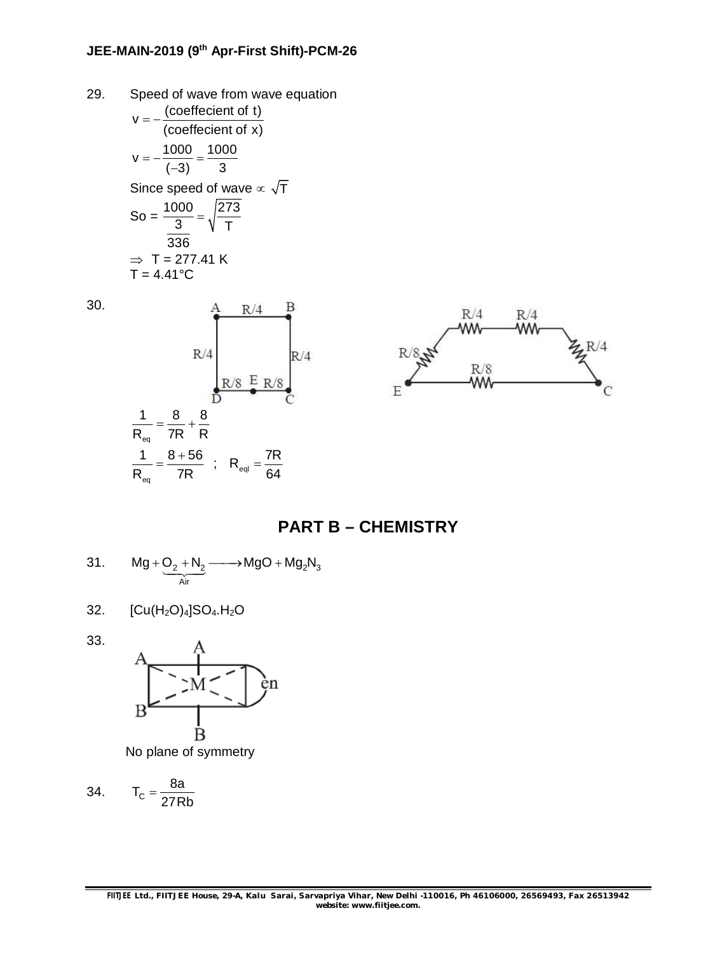29. Speed of wave from wave equation  $v = -\frac{(coefficient of t)}{(1 - t)}$ (coeffecient of x)  $=-\frac{1}{2}$  $v = -\frac{1000}{(0.00)} = \frac{1000}{0.00}$  $(-3)$  3  $=-\frac{1000}{4}=-$ -Since speed of wave  $\propto \sqrt{T}$ So =  $\frac{1000}{3} = \sqrt{\frac{273}{5}}$  $\frac{360}{3} = \sqrt{\frac{27}{T}}$ 336  $\Rightarrow$  T = 277.41 K  $T = 4.41^{\circ}$ C





### **PART B – CHEMISTRY**

31. 
$$
Mg + Q_2 + N_2 \longrightarrow MgO + Mg_2N_3
$$

$$
32. [Cu(H2O)4]SO4.H2O
$$

33.



No plane of symmetry

$$
34. \qquad T_c = \frac{8a}{27Rb}
$$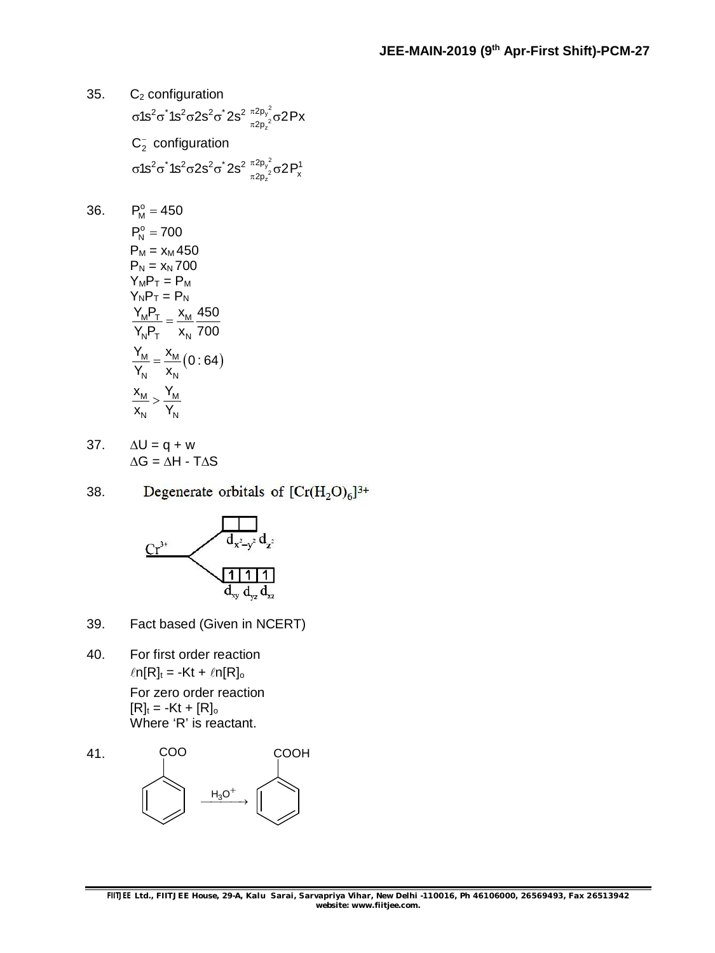35. C<sup>2</sup> configuration  $\frac{2}{z}$  $2\pi$ <sup>2</sup> 10<sup>2</sup> $\pi$ 20<sup>2</sup> $\pi$ <sup>2</sup> 2<sup> $\pi$ 2p</sup> σ1s $^2$ σ໋1s $^2$ σ2s $^2$ σ໋2s $^2$   $\frac{\pi ^2\mathsf p_y^2}{\pi 2\mathsf p_z^2}$ σ2Px  $C_2^-$  configuration  $\frac{2}{z}$  $2\pi^{*}$  10 $2\pi$ 2  $2\pi^{2}$   $2e^{2}$   $\pi^{2}$  $p_{y}^{2}$   $\pi^{2}$  $D^{1}$ σ1s $^2$ σ $^*$ 1s $^2$ σ $^2$ s $^2$ σ $^*$ 2s $^2$   $\frac{\pi 2\mathsf{p}_\mathsf{y}^{\,2}}{\pi 2\mathsf{p}_\mathsf{z}^{\,2}}$ σ $2\mathsf{P}^1_\mathsf{x}$ 

36. 
$$
P_M^o = 450
$$
  
\n $P_N^o = 700$   
\n $P_M = x_M 450$   
\n $P_N = x_N 700$   
\n $Y_M P_T = P_M$   
\n $Y_N P_T = P_N$   
\n $\frac{Y_M P_T}{Y_N P_T} = \frac{x_M}{x_N} \frac{450}{700}$   
\n $\frac{Y_M}{Y_N} = \frac{x_M}{x_N} (0:64)$   
\n $\frac{x_M}{x_N} > \frac{Y_M}{Y_N}$ 

37.  $\Delta U = q + w$  $AG = AH - TAS$ 

Degenerate orbitals of  $[Cr(H<sub>2</sub>O)<sub>6</sub>]^{3+}$ 38.



- 39. Fact based (Given in NCERT)
- 40. For first order reaction  $ln[R]_t = -Kt + ln[R]_0$ For zero order reaction  $[R]_t = -Kt + [R]_0$ Where 'R' is reactant.

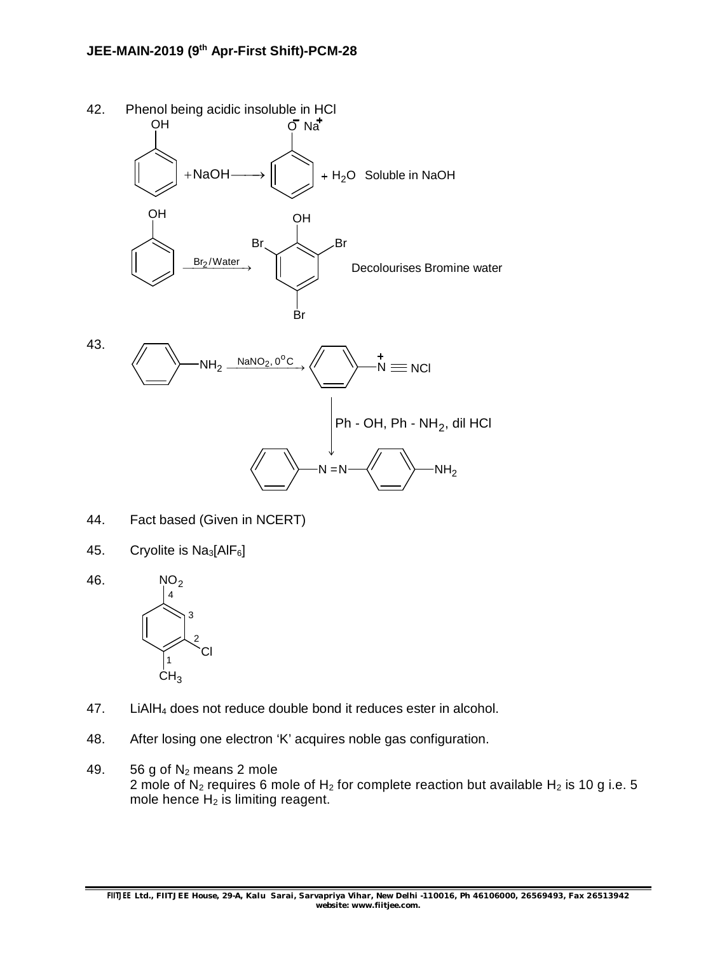

- 44. Fact based (Given in NCERT)
- 45. Cryolite is  $Na<sub>3</sub>[AlF<sub>6</sub>]$
- 46. NO<sub>2</sub> Cl  $CH<sub>3</sub>$ 1 2 3 4
- 47. LiAlH<sub>4</sub> does not reduce double bond it reduces ester in alcohol.
- 48. After losing one electron 'K' acquires noble gas configuration.
- 49.  $56 g$  of N<sub>2</sub> means 2 mole 2 mole of  $N_2$  requires 6 mole of  $H_2$  for complete reaction but available  $H_2$  is 10 g i.e. 5 mole hence  $H_2$  is limiting reagent.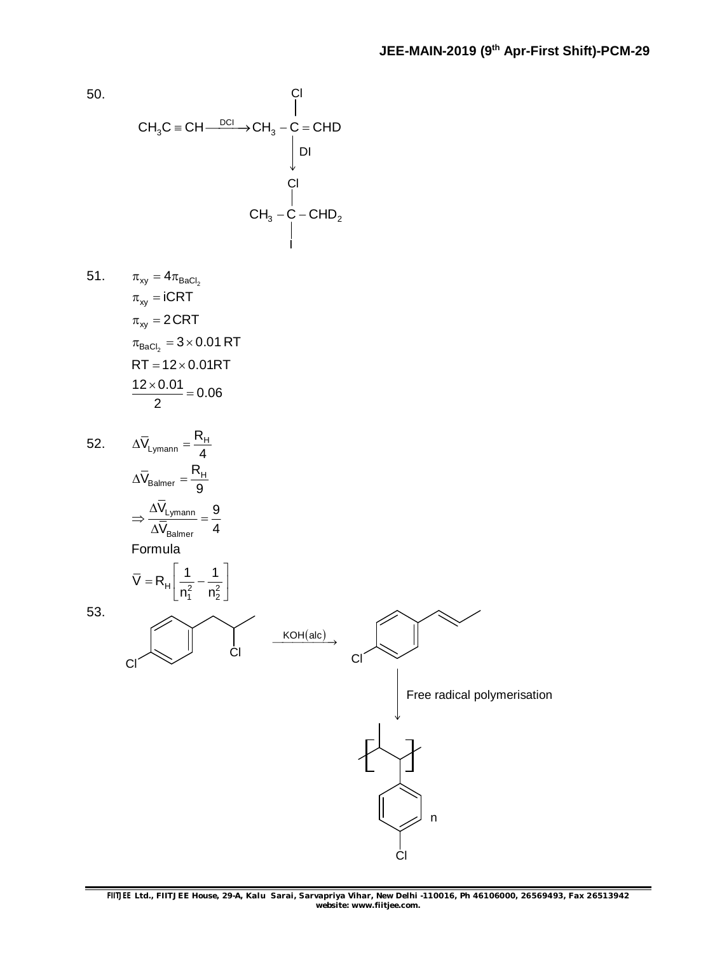50.  $CH_3C \equiv CH \xrightarrow{DCI} CH_3 - \bigcup_{1}^{I}$  = CHD  $\mathsf{CH}_3^{}$  –  $\mathsf{C}$  –  $\mathsf{CHD}_2^{}$ Cl Cl I DI  $51. \qquad \pi_{\mathsf{x}\mathsf{y}} = 4\pi_{\mathsf{BaCl}_2}$  $\pi_{\mathsf{BaCl}_2} = 3\!\times\!0.01\,\mathsf{RT}$  $\pi_{\mathsf{x}\mathsf{y}} = \mathsf{iCRT}$  $\pi_{\mathsf{x}\mathsf{y}}^{}$  = 2 CRT  $RT = 12 \times 0.01RT$  $\frac{12 \times 0.01}{2} = 0.06$ 2  $\frac{\times 0.01}{2}$  = 52.  $\Delta V_{Lymann} = \frac{IVH}{A}$  $\overline{V}_{L_{\text{Vmann}}} = \frac{R}{A}$ 4  $\Delta V_{\text{l vmann}} = \frac{N_{\text{H}}}{4}$  $H_{\text{Balmer}} = \frac{H}{\Omega}$ Lymann Balmer  $\mathsf{H} \left[ \overline{\mathsf{n}_1^2} \quad \overline{\mathsf{n}_2^2} \right]$  $\bar{V}_{\text{Balmer}} = \frac{R}{4}$ 9  $\rm V_{Lymann}$  9  $V_{\rm Balmer}$  4 Formula  $\overline{V} = R_H \left| \frac{1}{2} - \frac{1}{2} \right|$  $n_1^2 - n_2^2$  $\Delta\mathsf{V}_\mathsf{Balmer} = \frac{1}{2}$  $\Delta$  $\Rightarrow \frac{Ly_{\text{m}}}{\sqrt{v}} =$  $\Delta$  $1 \quad 1$  $= R_{H} \left[ \frac{1}{n_1^2} - \frac{1}{n_2^2} \right]$ 53. Cl Cl  $KOH(alc)$ Cl Cl n Free radical polymerisation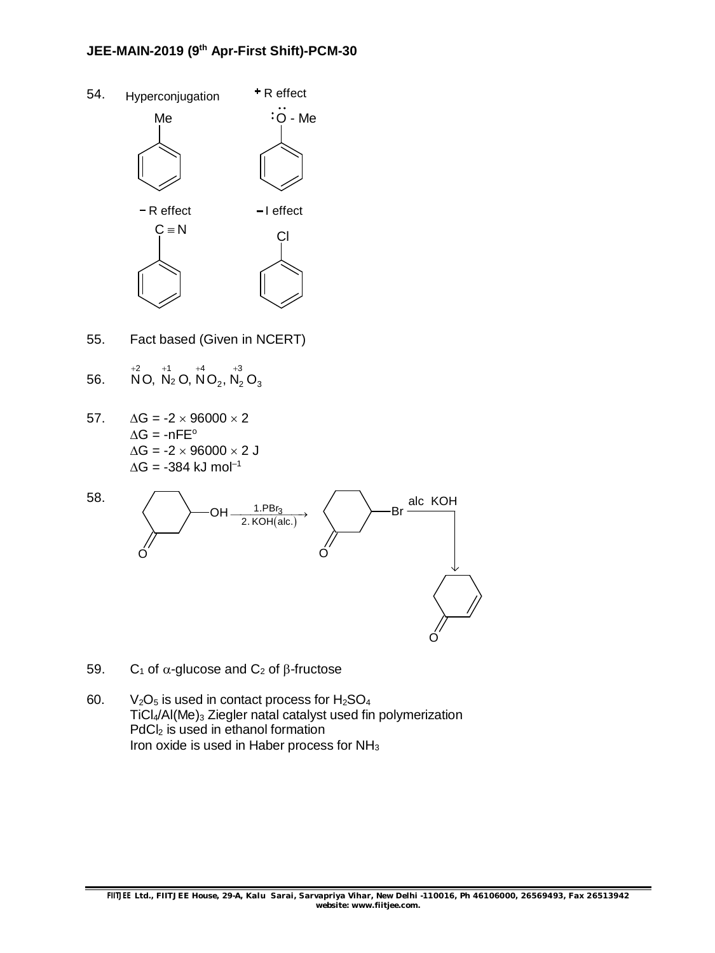## **JEE-MAIN-2019 (9th Apr-First Shift)-PCM-30**

- 54. Me  $\ddot{\cdot} \ddot{\cdot}$   $\ddot{\cdot}$   $\ddot{\cdot}$   $\ddot{\cdot}$  $C \equiv N$  Cl  $Hyperconjugation$   $+$  R effect  $-R$  effect  $-1$  effect
- 55. Fact based (Given in NCERT)
- 56.  $\overset{+2}{\mathsf{N}}$ O,  $\overset{+1}{\mathsf{N}}$ O,  $\overset{+4}{\mathsf{N}}$ O<sub>2</sub>,  $\overset{+3}{\mathsf{N}}$ <sub>2</sub>O<sub>3</sub>
- 57.  $\Delta G = -2 \times 96000 \times 2$  $\Delta G = -nFE^{\circ}$  $\Delta G = -2 \times 96000 \times 2$  J  $\Delta G = -384$  kJ mol<sup>-1</sup>



- 59. C<sub>1</sub> of  $\alpha$ -glucose and C<sub>2</sub> of  $\beta$ -fructose
- 60.  $V_2O_5$  is used in contact process for  $H_2SO_4$ TiCl<sub>4</sub>/Al(Me)<sub>3</sub> Ziegler natal catalyst used fin polymerization PdCl<sub>2</sub> is used in ethanol formation Iron oxide is used in Haber process for  $NH<sub>3</sub>$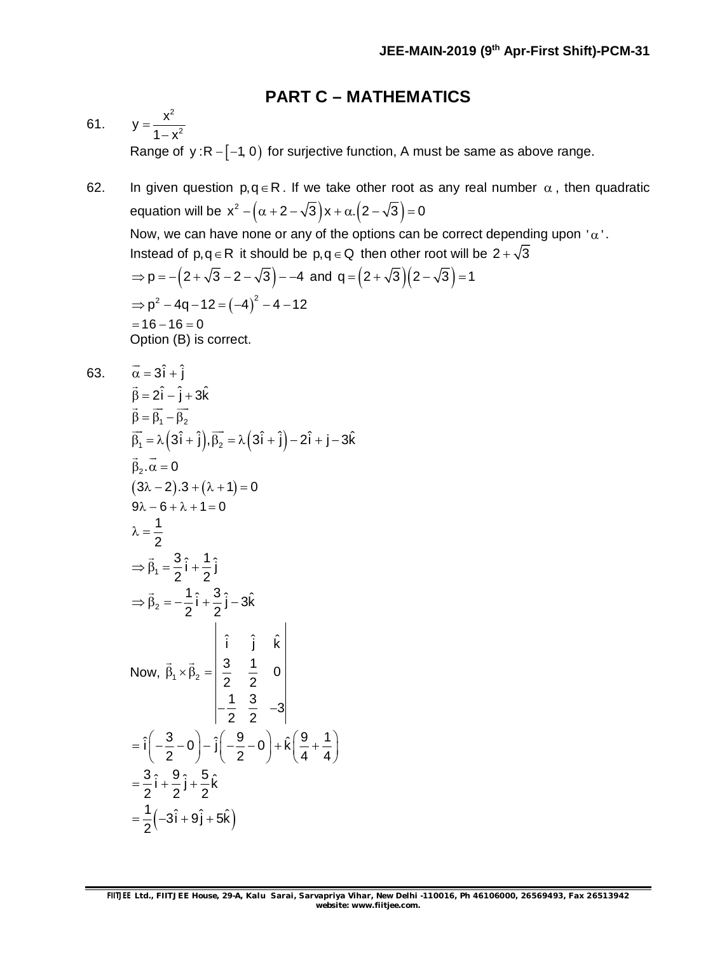## **PART C – MATHEMATICS**

61. 2 2  $y = \frac{x}{1}$  $1 - x^2$  $=$  $\overline{a}$ Range of  $y : R - [-1, 0)$  for surjective function, A must be same as above range.

62. In given question  $p, q \in R$ . If we take other root as any real number  $\alpha$ , then quadratic equation will be  $x^2 - (\alpha + 2 - \sqrt{3})x + \alpha.$   $(2 - \sqrt{3}) = 0$ Now, we can have none or any of the options can be correct depending upon ' $\alpha$ '. Instead of  $p, q \in R$  it should be  $p, q \in Q$  then other root will be  $2 + \sqrt{3}$  $p = -(2+\sqrt{3}-2-\sqrt{3})$  - -4 and  $q = (2+\sqrt{3})(2-\sqrt{3}) = 1$  $\Rightarrow$  p<sup>2</sup> - 4q - 12 =  $(-4)^2$  - 4 - 12  $= 16 - 16 = 0$ Option (B) is correct. 63.  $\vec{\alpha} = 3\hat{i} + \hat{i}$  $\vec{B} = 2\hat{i} - \hat{i} + 3\hat{k}$  $\beta = \beta_1 - \beta_2$  $\rightarrow$   $\rightarrow$   $\rightarrow$  $\overrightarrow{\beta_1} = \lambda \left(3\hat{i} + \hat{j}\right), \overrightarrow{\beta_2} = \lambda \left(3\hat{i} + \hat{j}\right) - 2\hat{i} + \hat{j} - 3\hat{k}$  $\beta_2 \cdot \alpha = 0$  $\rightarrow$   $\rightarrow$  $(3\lambda - 2) \cdot 3 + (\lambda + 1) = 0$  $9\lambda - 6 + \lambda + 1 = 0$ 1 2  $\lambda = \frac{1}{2}$  $t_1 = \frac{3}{2} \hat{i} + \frac{1}{2} \hat{j}$  $2^{\degree}$  2  $\Rightarrow \beta_1 = \frac{3}{2}i + \frac{1}{2}$  $\rightarrow$  $2^2 = -\frac{1}{2}\hat{i} + \frac{3}{2}\hat{j} - 3\hat{k}$ 2 2  $\Rightarrow \beta_2 = -\frac{1}{2}i + \frac{3}{2}j - 3$  $\rightarrow$ Now,  $\beta_1 \times \beta_2$ ˆ ˆ ˆ i j k  $\frac{3}{2}$   $\frac{1}{2}$  0 2 2  $\frac{1}{2}$   $\frac{3}{2}$   $-3$ 2 2  $\beta_1 \times \beta_2 =$  $-\frac{1}{2}$   $\frac{6}{8}$   $-3$  $\rightarrow$ 

 $\hat{i}\left(-\frac{3}{2}-0\right)-\hat{j}\left(-\frac{9}{2}-0\right)+\hat{k}\left(\frac{9}{2}+1\right)$ 2  $(2)$   $(4)$   $4$  $= \hat{i}\left(-\frac{3}{2}-0\right) - \hat{j}\left(-\frac{9}{2}-0\right) + \hat{k}\left(\frac{9}{4}+\frac{1}{4}\right)$ 

 $\frac{3}{2}i + \frac{9}{2}j + \frac{5}{2}k$  $2^{2}$   $2^{2}$   $2$  $=\frac{6}{2}i+\frac{6}{2}j+\frac{1}{2}$ 

 $=\frac{1}{2}(-3i+9j+9)$ 

2

 $\frac{1}{2}(-3\hat{i} + 9\hat{j} + 5\hat{k})$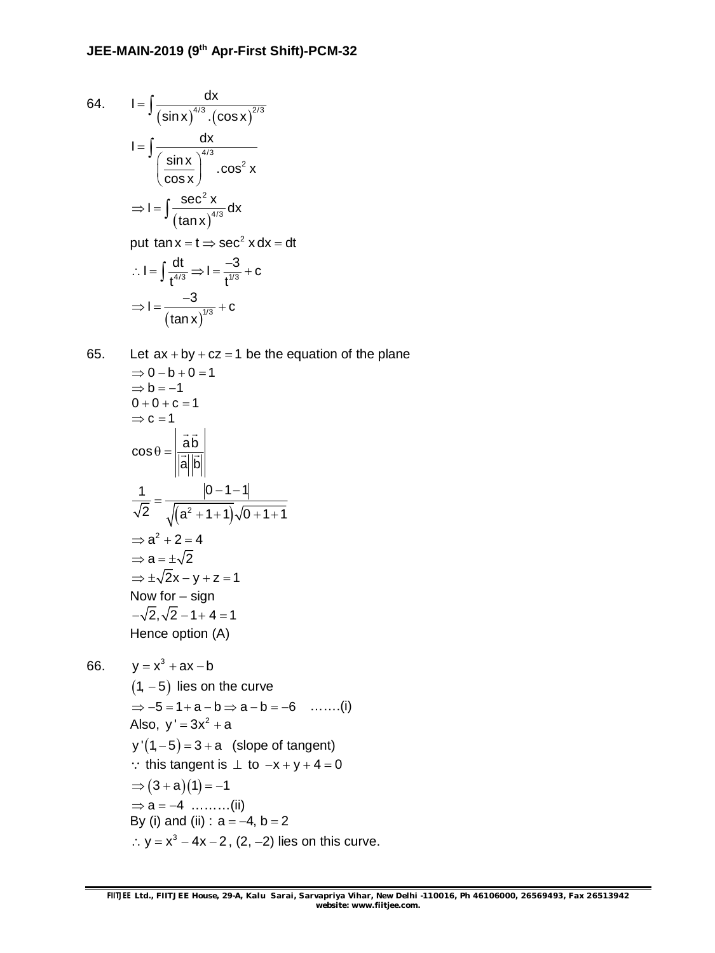64. 
$$
I = \int \frac{dx}{(\sin x)^{4/3} \cdot (\cos x)^{2/3}}
$$

$$
I = \int \frac{dx}{\left(\frac{\sin x}{\cos x}\right)^{4/3} \cdot \cos^2 x}
$$

$$
\Rightarrow I = \int \frac{\sec^2 x}{(\tan x)^{4/3}} dx
$$
put  $\tan x = t \Rightarrow \sec^2 x dx = dt$ 
$$
\therefore I = \int \frac{dt}{t^{4/3}} \Rightarrow I = \frac{-3}{t^{4/3}} + c
$$

$$
\Rightarrow I = \frac{-3}{(\tan x)^{4/3}} + c
$$

65. Let  $ax + by + cz = 1$  be the equation of the plane  $\Rightarrow$  0 - b + 0 = 1  $\Rightarrow$  b = -1  $0 + 0 + c = 1$  $\Rightarrow$  c = 1  $\cos \theta = \frac{ab}{a+b}$ a|b|  $\theta =$  $\rightarrow$   $\rightarrow$   $\parallel$  $\frac{uv}{v}$  $(a^2+1+1)^2$ 1  $|0 - 1 - 1|$ 2  $\sqrt{(a^2 + 1 + 1)\sqrt{0 + 1 + 1}}$  $-1 - 1$  $=$  $+1$  + 1)  $\sqrt{0}$  + 1 + 1  $\Rightarrow$   $a^2 + 2 = 4$  $\Rightarrow$  a =  $\pm\sqrt{2}$  $\Rightarrow \pm \sqrt{2}x - y + z = 1$ Now for – sign  $-\sqrt{2}, \sqrt{2} - 1 + 4 = 1$ 

66. 
$$
y = x^3 + ax - b
$$
  
\n $(1, -5)$  lies on the curve  
\n $\Rightarrow -5 = 1 + a - b \Rightarrow a - b = -6$  ......(i)  
\nAlso,  $y' = 3x^2 + a$   
\n $y'(1, -5) = 3 + a$  (slope of tangent)  
\n $\therefore$  this tangent is  $\perp$  to  $-x + y + 4 = 0$   
\n $\Rightarrow (3 + a)(1) = -1$   
\n $\Rightarrow a = -4$  ......(ii)  
\nBy (i) and (ii) :  $a = -4$ ,  $b = 2$   
\n $\therefore y = x^3 - 4x - 2$ , (2, -2) lies on this curve.

Hence option (A)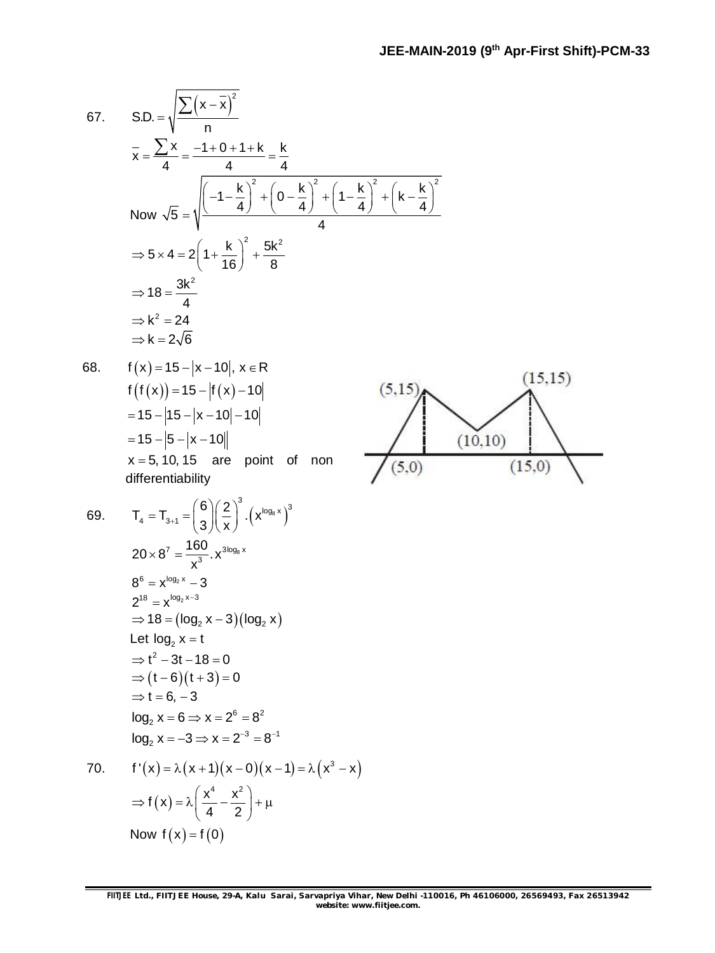$(15, 15)$ 

 $(15,0)$ 

67. SD. = 
$$
\sqrt{\frac{\sum (x - \bar{x})^2}{n}}
$$
  
\n $\bar{x} = \frac{\sum x}{4} = \frac{-1 + 0 + 1 + k}{4} = \frac{k}{4}$   
\nNow  $\sqrt{5} = \sqrt{\frac{(-1 - \frac{k}{4})^2 + (0 - \frac{k}{4})^2 + (1 - \frac{k}{4})^2 + (k - \frac{k}{4})^2}{4}}$   
\n $\Rightarrow 5 \times 4 = 2(1 + \frac{k}{16})^2 + \frac{5k^2}{8}$   
\n $\Rightarrow 18 = \frac{3k^2}{4}$   
\n $\Rightarrow k^2 = 24$   
\n $\Rightarrow k = 2\sqrt{6}$   
\n68.  $f(x) = 15 - |x - 10|, x \in \mathbb{R}$   
\n $f(f(x)) = 15 - |x - 10|$   
\n $= 15 - |5 - |x - 10|$   
\n $= 15 - |5 - |x - 10|$   
\n $x = 5, 10, 15$  are point of non differentiability  
\n69.  $T_4 = T_{3+1} = \left(\frac{6}{3}\right)\left(\frac{2}{x}\right)^3 \cdot (x^{\log_8 x})^3$   
\n $20 \times 8^7 = \frac{160}{x^9} \cdot x^{3\log_8 x}$   
\n $8^6 = x^{\log_2 x} - 3$   
\n $2^{18} = x^{\log_2 x - 3}$   
\n $2^{18} = x^{\log_2 x - 3}$   
\n $2^{18} = x^{10} - 3$   
\n $\Rightarrow (t - 6)(t + 3) = 0$   
\n $\Rightarrow t = 6, -3$   
\n $\log_2 x = 6 \Rightarrow x = 2^6 = 8^2$   
\n $\log_2 x = 6 \Rightarrow x = 2^6 = 8^2$   
\n $\log_2 x = 6 \Rightarrow x = 2^6 = 8^2$   
\n $f'(x) = \lambda(x + 1)(x - 0)(x - 1) = \lambda(x^3 - x)$ 

0. 
$$
f'(x) = \lambda (x + 1)(x - 0)(x - 1) = \lambda (x^3)
$$
  
\n
$$
\Rightarrow f(x) = \lambda \left(\frac{x^4}{4} - \frac{x^2}{2}\right) + \mu
$$
\nNow  $f(x) = f(0)$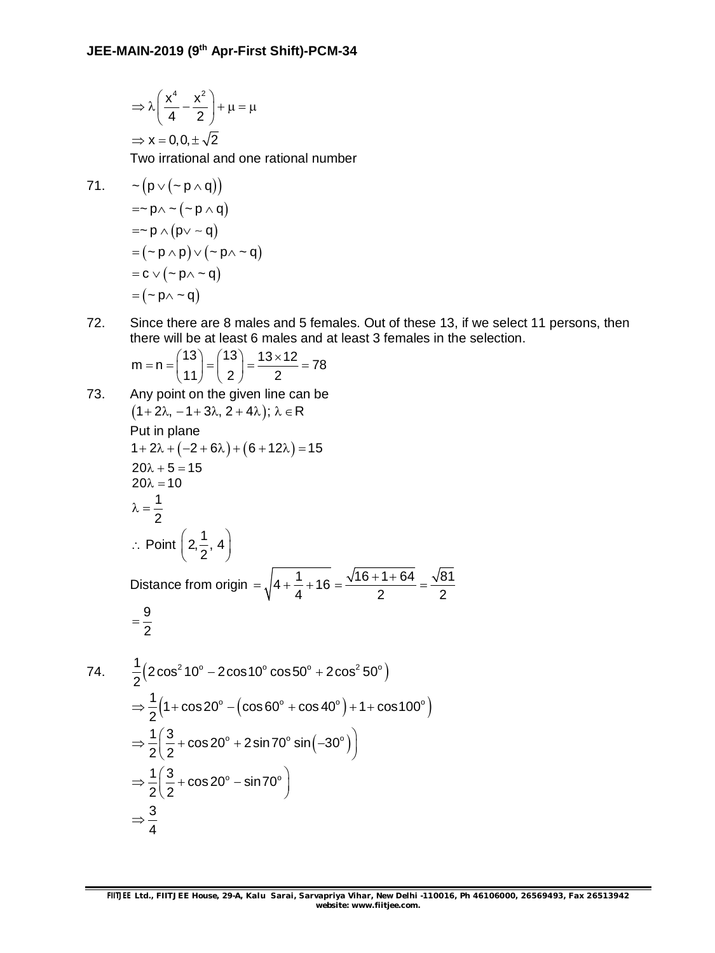$$
\Rightarrow \lambda \left( \frac{x^4}{4} - \frac{x^2}{2} \right) + \mu = \mu
$$

$$
\Rightarrow x = 0, 0, \pm \sqrt{2}
$$

Two irrational and one rational number

71. 
$$
-(p \vee (-p \wedge q))
$$
  
\n
$$
=p \wedge (p \vee q)
$$
  
\n
$$
=p \wedge (p \vee q)
$$
  
\n
$$
= (p \wedge p) \vee (-p \wedge q)
$$
  
\n
$$
= c \vee (p \wedge q)
$$
  
\n
$$
= (p \wedge q)
$$

72. Since there are 8 males and 5 females. Out of these 13, if we select 11 persons, then there will be at least 6 males and at least 3 females in the selection.

$$
m = n = {13 \choose 11} = {13 \choose 2} = \frac{13 \times 12}{2} = 78
$$

73. Any point on the given line can be  
\n
$$
(1+2\lambda, -1+3\lambda, 2+4\lambda); \lambda \in \mathbb{R}
$$
  
\nPut in plane  
\n $1+2\lambda + (-2+6\lambda) + (6+12\lambda) = 15$   
\n $20\lambda + 5 = 15$   
\n $20\lambda + 5 = 15$   
\n $20\lambda = 10$   
\n $\lambda = \frac{1}{2}$   
\n∴ Point  $\left(2, \frac{1}{2}, 4\right)$   
\nDistance from origin  $= \sqrt{4 + \frac{1}{4} + 16} = \frac{\sqrt{16 + 1 + 64}}{2} = \frac{\sqrt{81}}{2}$   
\n $= \frac{9}{2}$   
\n74.  $\frac{1}{2}(2\cos^2 10^\circ - 2\cos 10^\circ \cos 50^\circ + 2\cos^2 50^\circ)$   
\n $\Rightarrow \frac{1}{2}(1+\cos 20^\circ - (\cos 60^\circ + \cos 40^\circ) + 1 + \cos 100^\circ)$   
\n $\Rightarrow \frac{1}{2}\left(\frac{3}{2} + \cos 20^\circ + 2\sin 70^\circ \sin(-30^\circ)\right)$   
\n $\Rightarrow \frac{1}{2}\left(\frac{3}{2} + \cos 20^\circ - \sin 70^\circ\right)$   
\n $\Rightarrow \frac{3}{4}$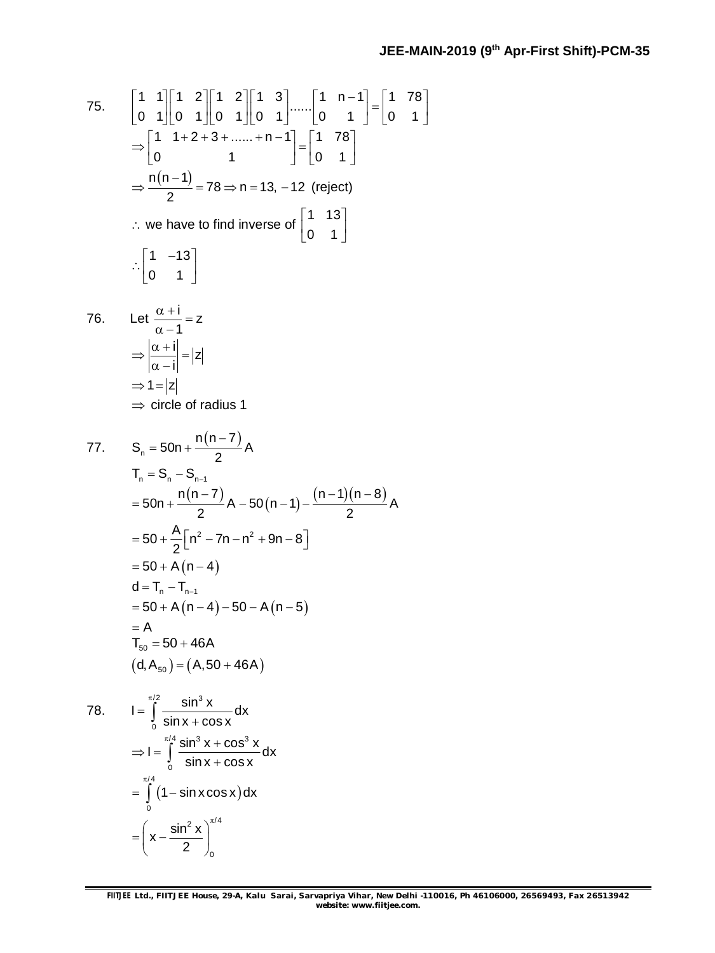75. 
$$
\begin{bmatrix} 1 & 1 \\ 0 & 1 \end{bmatrix} \begin{bmatrix} 1 & 2 \\ 0 & 1 \end{bmatrix} \begin{bmatrix} 1 & 2 \\ 0 & 1 \end{bmatrix} \begin{bmatrix} 1 & 3 \\ 0 & 1 \end{bmatrix} \dots \begin{bmatrix} 1 & n-1 \\ 0 & 1 \end{bmatrix} = \begin{bmatrix} 1 & 78 \\ 0 & 1 \end{bmatrix}
$$
  
\n
$$
\Rightarrow \frac{n(n-1)}{2} = 78 \Rightarrow n = 13, -12 \text{ (reject)}
$$
  
\n
$$
\therefore \text{ we have to find inverse of } \begin{bmatrix} 1 & 13 \\ 0 & 1 \end{bmatrix}
$$
  
\n
$$
\therefore \begin{bmatrix} 1 & -13 \\ 0 & 1 \end{bmatrix}
$$
  
\n76. Let  $\frac{\alpha + i}{\alpha - 1} = z$   
\n
$$
\Rightarrow \frac{|\alpha + i|}{|\alpha - i|} = |z|
$$
  
\n
$$
\Rightarrow 1 = |z|
$$
  
\n
$$
\Rightarrow 1 = |z|
$$
  
\n
$$
\Rightarrow 1 = |z|
$$
  
\n
$$
\Rightarrow \text{ circle of radius 1}
$$
  
\n77. 
$$
S_n = 50n + \frac{n(n-7)}{2}A
$$
  
\n
$$
T_n = S_n - S_{n-1}
$$
  
\n
$$
= 50n + \frac{n(n-7)}{2}A - 50(n-1) - \frac{(n-1)(n-8)}{2}A
$$
  
\n
$$
= 50 + \frac{A}{2}[n^2 - 7n - n^2 + 9n - 8]
$$
  
\n
$$
= 50 + A(n-4)
$$
  
\n
$$
d = T_n - T_{n-1}
$$
  
\n
$$
= 50 + A(n-4) - 50 - A(n-5)
$$
  
\n
$$
= A
$$
  
\n
$$
T_{50} = 50 + 46A
$$
  
\n
$$
(d, A_{50}) = (A, 50 + 46A)
$$
  
\n78. 
$$
I = \int_{0}^{\frac{\pi}{2}} \frac{\sin^3 x}{\sin x + \cos x} dx
$$
  
\n<

0

 $x - \frac{\sin^2 x}{2}$ 2  $=\left(x-\frac{\sin^2 x}{2}\right)_0^{\pi/2}$ 

/ 4

 $\pi$  $= \int (1 - s)$ 

0

 $(1 - \sin x \cos x)$ 

2  $\sqrt{\pi/4}$ 

0

 $1 - \sin x \cos x$ ) dx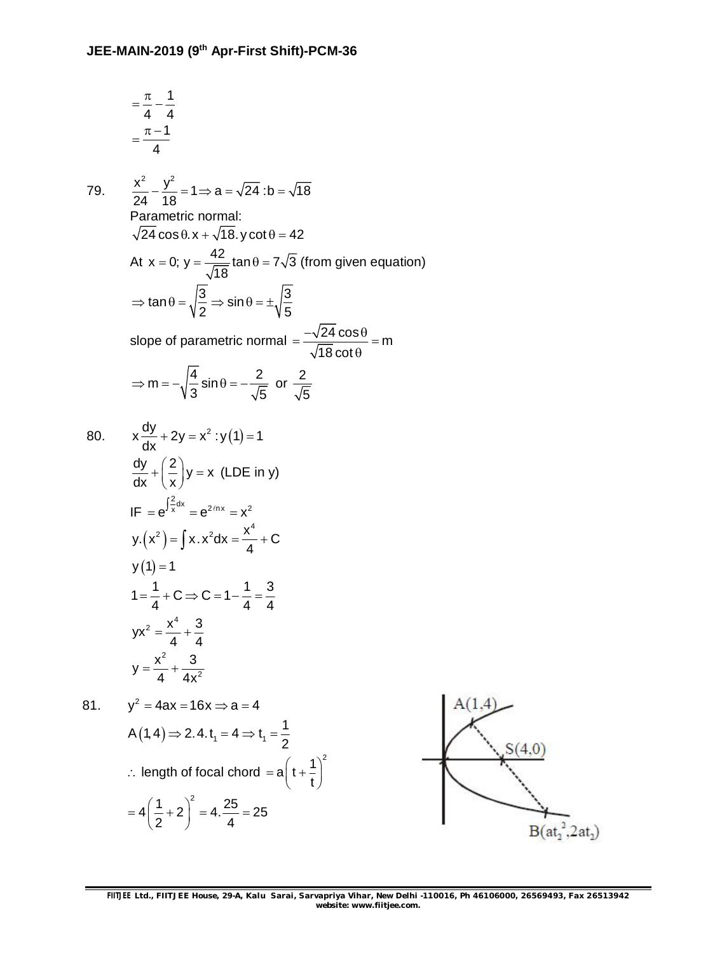$$
=\frac{\pi}{4}-\frac{1}{4}
$$

$$
=\frac{\pi-1}{4}
$$

79. 
$$
\frac{x^2}{24} - \frac{y^2}{18} = 1 \Rightarrow a = \sqrt{24} : b = \sqrt{18}
$$
  
\nParametric normal:  
\n $\sqrt{24} \cos \theta . x + \sqrt{18}. y \cot \theta = 42$   
\nAt  $x = 0$ ;  $y = \frac{42}{\sqrt{18}} \tan \theta = 7\sqrt{3}$  (from given equation)  
\n $\Rightarrow \tan \theta = \sqrt{\frac{3}{2}} \Rightarrow \sin \theta = \pm \sqrt{\frac{3}{5}}$   
\nslope of parametric normal  $= \frac{-\sqrt{24} \cos \theta}{\sqrt{18} \cot \theta} = m$   
\n $\Rightarrow m = -\sqrt{\frac{4}{3}} \sin \theta = -\frac{2}{\sqrt{5}} \text{ or } \frac{2}{\sqrt{5}}$   
\n80.  $x \frac{dy}{dx} + 2y = x^2 : y(1) = 1$   
\n $\frac{dy}{dx} + (\frac{2}{x})y = x \text{ (LDE in y)}$   
\nIF  $= e^{\int \frac{2}{x} dx} = e^{2/\pi x} = x^2$   
\n $y.(x^2) = \int x . x^2 dx = \frac{x^4}{4} + C$   
\n $y(1) = 1$   
\n $1 = \frac{1}{4} + C \Rightarrow C = 1 - \frac{1}{4} = \frac{3}{4}$   
\n $yx^2 = \frac{x^4}{4} + \frac{3}{4x^2}$   
\n81.  $y^2 = 4ax = 16x \Rightarrow a = 4$ 

 $(1, 4) \Rightarrow 2.4$ . t<sub>1</sub> = 4  $\Rightarrow$  t<sub>1</sub> A  $(1, 4) \Rightarrow 2.4$ .  $t_1 = 4 \Rightarrow t_1 = \frac{1}{2}$  $\Rightarrow$  2.4.t<sub>1</sub> = 4  $\Rightarrow$  t<sub>1</sub> = - $\therefore$  length of focal chord  $a\left(t+\frac{1}{t}\right)^2$  $= a\left(t+\frac{1}{t}\right)^{2}$  $4\left(\frac{1}{2}+2\right)^2=4.\frac{25}{4}=25$  $2^{7}$  4  $=4\left(\frac{1}{2}+2\right)^{2}=4.\frac{25}{4}=2$ 

2

t

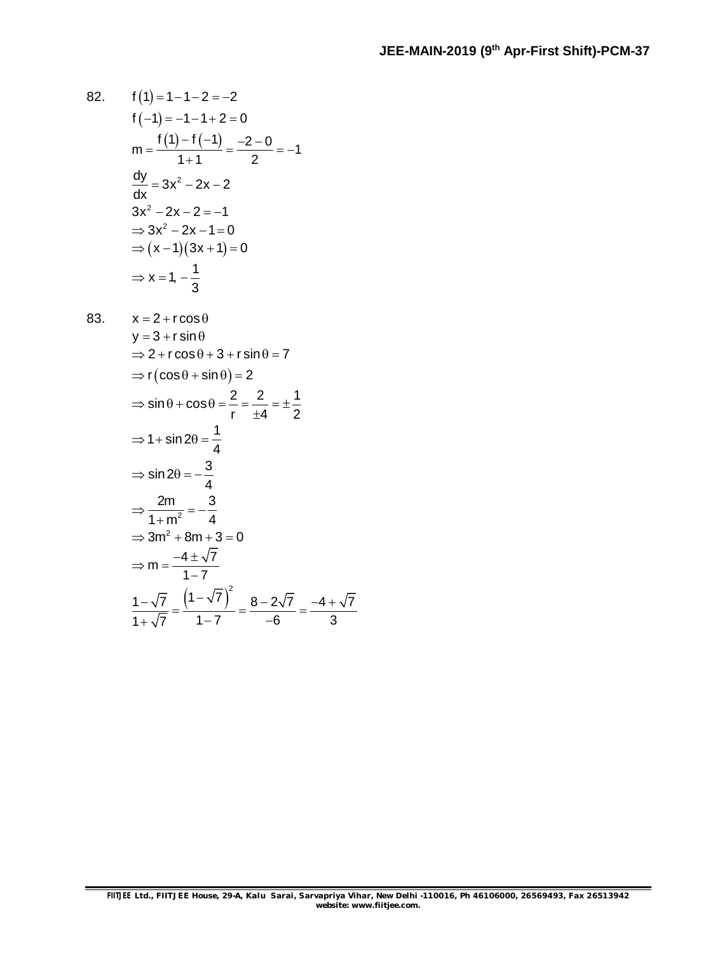82. 
$$
f(1)=1-1-2=-2
$$
  
\n $f(-1)=-1-1+2=0$   
\n $m=\frac{f(1)-f(-1)}{1+1}=\frac{-2-0}{2}=-1$   
\n $\frac{dy}{dx}=3x^2-2x-2$   
\n $3x^2-2x-2=-1$   
\n $\Rightarrow 3x^2-2x-1=0$   
\n $\Rightarrow (x-1)(3x+1)=0$   
\n $\Rightarrow x=1, -\frac{1}{3}$ 

83. 
$$
x = 2 + r \cos \theta
$$
  
\n
$$
y = 3 + r \sin \theta
$$
  
\n
$$
\Rightarrow 2 + r \cos \theta + 3 + r \sin \theta = 7
$$
  
\n
$$
\Rightarrow r(\cos \theta + \sin \theta) = 2
$$
  
\n
$$
\Rightarrow \sin \theta + \cos \theta = \frac{2}{r} = \frac{2}{\pm 4} = \pm \frac{1}{2}
$$
  
\n
$$
\Rightarrow 1 + \sin 2\theta = \frac{1}{4}
$$
  
\n
$$
\Rightarrow \sin 2\theta = -\frac{3}{4}
$$
  
\n
$$
\Rightarrow \frac{2m}{1 + m^2} = -\frac{3}{4}
$$
  
\n
$$
\Rightarrow 3m^2 + 8m + 3 = 0
$$
  
\n
$$
\Rightarrow m = \frac{-4 \pm \sqrt{7}}{1 - 7}
$$
  
\n
$$
\frac{1 - \sqrt{7}}{1 + \sqrt{7}} = \frac{\left(1 - \sqrt{7}\right)^2}{1 - 7} = \frac{8 - 2\sqrt{7}}{-6} = \frac{-4 + \sqrt{7}}{3}
$$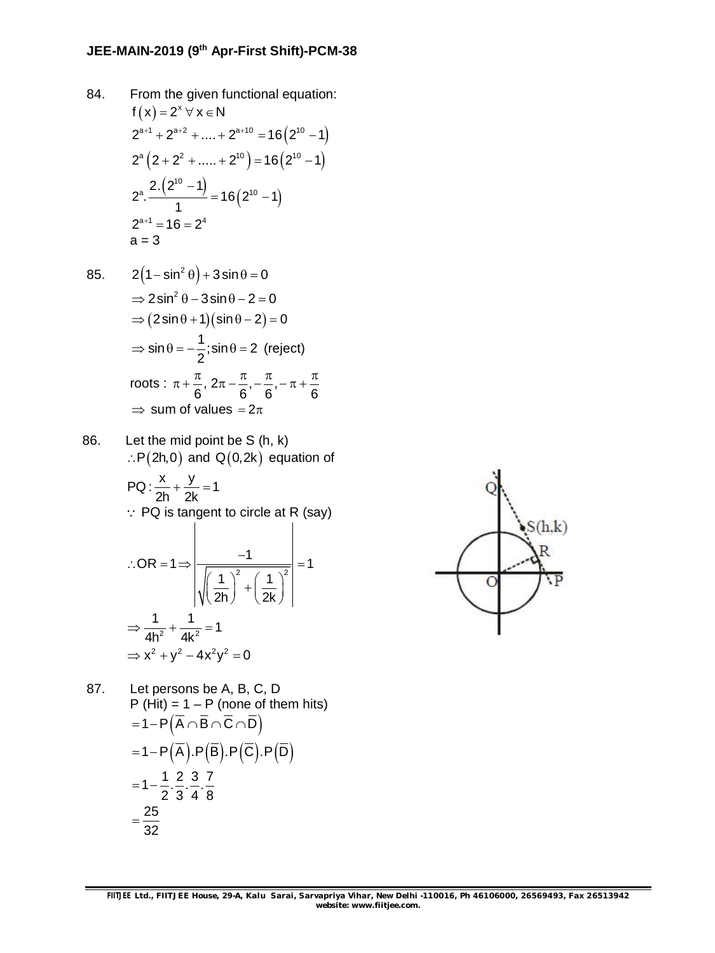## **JEE-MAIN-2019 (9th Apr-First Shift)-PCM-38**

84. From the given functional equation:  $f(x) = 2^x \forall x \in N$  $2^{a+1}$  +  $2^{a+2}$  + .... +  $2^{a+10}$  = 16 $(2^{10} - 1)$  $2^{\circ} (2 + 2^2 + \dots + 2^{\circ 0}) = 16 (2^{\circ 0} - 1)$  $(2^{10} - 1)$  $(2^{10} - 1)$ 10  $_{a}$  2. $(2^{10} - 1)$   $_{-16}$  (2<sup>10</sup>  $2^{\circ}$ .  $\frac{1}{\cdot}$   $\frac{1}{\cdot}$  = 16 (2<sup>10</sup> - 1) 1 - $=$  16 (  $2^{\scriptscriptstyle{10}}$   $-$  1  $2^{a+1} = 16 = 2^4$  $a = 3$ 

85. 
$$
2(1-\sin^2\theta) + 3\sin\theta = 0
$$

$$
\Rightarrow 2\sin^2\theta - 3\sin\theta - 2 = 0
$$

$$
\Rightarrow (2\sin\theta + 1)(\sin\theta - 2) = 0
$$

$$
\Rightarrow \sin\theta = -\frac{1}{2}; \sin\theta = 2 \text{ (reject)}
$$
roots :  $\pi + \frac{\pi}{6}$ ,  $2\pi - \frac{\pi}{6}$ ,  $-\frac{\pi}{6}$ ,  $-\pi + \frac{\pi}{6}$ 
$$
\Rightarrow \text{ sum of values } = 2\pi
$$

86. Let the mid point be S (h, k)  $\therefore P(2h,0)$  and Q(0,2k) equation of

PQ: 
$$
\frac{x}{2h} + \frac{y}{2k} = 1
$$
  
\n∴ PQ is tangent to circle at R (say)  
\n∴ OR = 1  $\Rightarrow$   $\frac{-1}{\sqrt{\left(\frac{1}{2h}\right)^2 + \left(\frac{1}{2k}\right)^2}} = 1$   
\n $\Rightarrow \frac{1}{4h^2} + \frac{1}{4k^2} = 1$   
\n $\Rightarrow x^2 + y^2 - 4x^2y^2 = 0$ 

87. Let persons be A, B, C, D  
\nP (Hit) = 1 – P (none of them hits)  
\n= 1– P(
$$
\overline{A} \cap \overline{B} \cap \overline{C} \cap \overline{D}
$$
)  
\n= 1– P( $\overline{A}$ ).P( $\overline{B}$ ).P( $\overline{C}$ ).P( $\overline{D}$ )  
\n= 1–  $\frac{1}{2}$ . $\frac{2}{3}$ . $\frac{3}{4}$ . $\frac{7}{8}$   
\n=  $\frac{25}{32}$